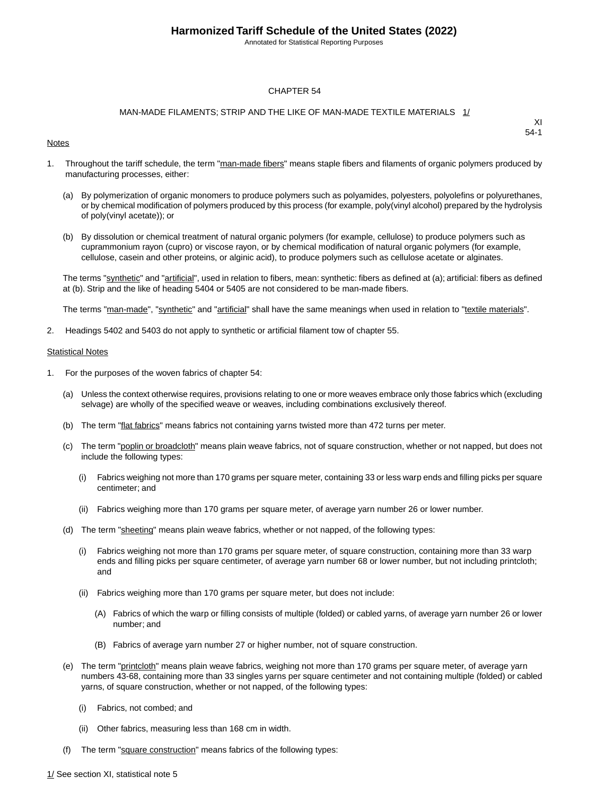Annotated for Statistical Reporting Purposes

#### CHAPTER 54

#### MAN-MADE FILAMENTS; STRIP AND THE LIKE OF MAN-MADE TEXTILE MATERIALS 1/

#### **Notes**

XI 54-1

- 1. Throughout the tariff schedule, the term "man-made fibers" means staple fibers and filaments of organic polymers produced by manufacturing processes, either:
	- (a) By polymerization of organic monomers to produce polymers such as polyamides, polyesters, polyolefins or polyurethanes, or by chemical modification of polymers produced by this process (for example, poly(vinyl alcohol) prepared by the hydrolysis of poly(vinyl acetate)); or
	- (b) By dissolution or chemical treatment of natural organic polymers (for example, cellulose) to produce polymers such as cuprammonium rayon (cupro) or viscose rayon, or by chemical modification of natural organic polymers (for example, cellulose, casein and other proteins, or alginic acid), to produce polymers such as cellulose acetate or alginates.

The terms "synthetic" and "artificial", used in relation to fibers, mean: synthetic: fibers as defined at (a); artificial: fibers as defined at (b). Strip and the like of heading 5404 or 5405 are not considered to be man-made fibers.

The terms "man-made", "synthetic" and "artificial" shall have the same meanings when used in relation to "textile materials".

2. Headings 5402 and 5403 do not apply to synthetic or artificial filament tow of chapter 55.

#### **Statistical Notes**

- 1. For the purposes of the woven fabrics of chapter 54:
	- (a) Unless the context otherwise requires, provisions relating to one or more weaves embrace only those fabrics which (excluding selvage) are wholly of the specified weave or weaves, including combinations exclusively thereof.
	- (b) The term "flat fabrics" means fabrics not containing yarns twisted more than 472 turns per meter.
	- (c) The term "poplin or broadcloth" means plain weave fabrics, not of square construction, whether or not napped, but does not include the following types:
		- (i) Fabrics weighing not more than 170 grams per square meter, containing 33 or less warp ends and filling picks per square centimeter; and
		- (ii) Fabrics weighing more than 170 grams per square meter, of average yarn number 26 or lower number.
	- (d) The term "sheeting" means plain weave fabrics, whether or not napped, of the following types:
		- (i) Fabrics weighing not more than 170 grams per square meter, of square construction, containing more than 33 warp ends and filling picks per square centimeter, of average yarn number 68 or lower number, but not including printcloth; and
		- (ii) Fabrics weighing more than 170 grams per square meter, but does not include:
			- (A) Fabrics of which the warp or filling consists of multiple (folded) or cabled yarns, of average yarn number 26 or lower number; and
			- (B) Fabrics of average yarn number 27 or higher number, not of square construction.
	- (e) The term "printcloth" means plain weave fabrics, weighing not more than 170 grams per square meter, of average yarn numbers 43-68, containing more than 33 singles yarns per square centimeter and not containing multiple (folded) or cabled yarns, of square construction, whether or not napped, of the following types:
		- (i) Fabrics, not combed; and
		- (ii) Other fabrics, measuring less than 168 cm in width.
	- (f) The term "square construction" means fabrics of the following types: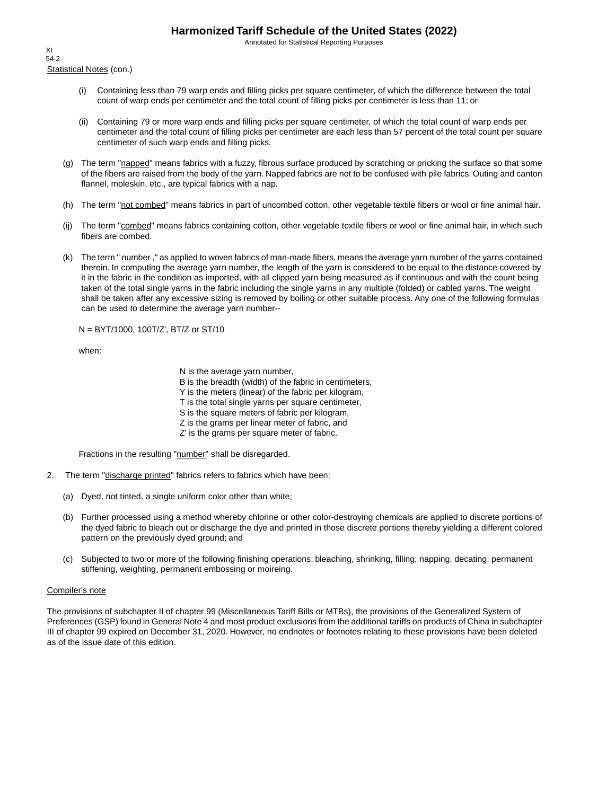Annotated for Statistical Reporting Purposes

Statistical Notes (con.) XI 54-2

- (i) Containing less than 79 warp ends and filling picks per square centimeter, of which the difference between the total count of warp ends per centimeter and the total count of filling picks per centimeter is less than 11; or
- (ii) Containing 79 or more warp ends and filling picks per square centimeter, of which the total count of warp ends per centimeter and the total count of filling picks per centimeter are each less than 57 percent of the total count per square centimeter of such warp ends and filling picks.
- (g) The term "napped" means fabrics with a fuzzy, fibrous surface produced by scratching or pricking the surface so that some of the fibers are raised from the body of the yarn. Napped fabrics are not to be confused with pile fabrics. Outing and canton flannel, moleskin, etc., are typical fabrics with a nap.
- (h) The term "not combed" means fabrics in part of uncombed cotton, other vegetable textile fibers or wool or fine animal hair.
- (ij) The term "combed" means fabrics containing cotton, other vegetable textile fibers or wool or fine animal hair, in which such fibers are combed.
- (k) The term " number," as applied to woven fabrics of man-made fibers, means the average yarn number of the yarns contained therein. In computing the average yarn number, the length of the yarn is considered to be equal to the distance covered by it in the fabric in the condition as imported, with all clipped yarn being measured as if continuous and with the count being taken of the total single yarns in the fabric including the single yarns in any multiple (folded) or cabled yarns. The weight shall be taken after any excessive sizing is removed by boiling or other suitable process. Any one of the following formulas can be used to determine the average yarn number--

N = BYT/1000, 100T/Z', BT/Z or ST/10

when:

N is the average yarn number,

B is the breadth (width) of the fabric in centimeters,

Y is the meters (linear) of the fabric per kilogram,

T is the total single yarns per square centimeter,

S is the square meters of fabric per kilogram,

- Z is the grams per linear meter of fabric, and
- Z' is the grams per square meter of fabric.

Fractions in the resulting "number" shall be disregarded.

- 2. The term "discharge printed" fabrics refers to fabrics which have been:
	- (a) Dyed, not tinted, a single uniform color other than white;
	- (b) Further processed using a method whereby chlorine or other color-destroying chemicals are applied to discrete portions of the dyed fabric to bleach out or discharge the dye and printed in those discrete portions thereby yielding a different colored pattern on the previously dyed ground; and
	- (c) Subjected to two or more of the following finishing operations: bleaching, shrinking, filling, napping, decating, permanent stiffening, weighting, permanent embossing or moireing.

#### Compiler's note

The provisions of subchapter II of chapter 99 (Miscellaneous Tariff Bills or MTBs), the provisions of the Generalized System of Preferences (GSP) found in General Note 4 and most product exclusions from the additional tariffs on products of China in subchapter III of chapter 99 expired on December 31, 2020. However, no endnotes or footnotes relating to these provisions have been deleted as of the issue date of this edition.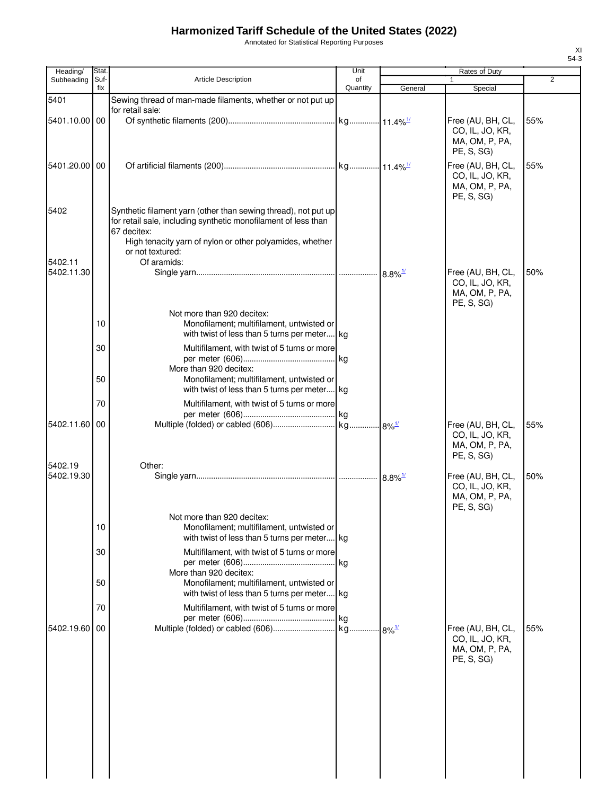Annotated for Statistical Reporting Purposes

| Heading/              | Stat.       |                                                                                                                                                                                                                                 | Unit           |         | Rates of Duty                                                        |     |
|-----------------------|-------------|---------------------------------------------------------------------------------------------------------------------------------------------------------------------------------------------------------------------------------|----------------|---------|----------------------------------------------------------------------|-----|
| Subheading            | Suf-<br>fix | <b>Article Description</b>                                                                                                                                                                                                      | of<br>Quantity | General | Special                                                              | 2   |
| 5401                  |             | Sewing thread of man-made filaments, whether or not put up                                                                                                                                                                      |                |         |                                                                      |     |
| 5401.10.00 00         |             | for retail sale:                                                                                                                                                                                                                |                |         | Free (AU, BH, CL,<br>CO, IL, JO, KR,<br>MA, OM, P, PA,<br>PE, S, SG) | 55% |
| 5401.20.00 00         |             |                                                                                                                                                                                                                                 |                |         | Free (AU, BH, CL,<br>CO, IL, JO, KR,<br>MA, OM, P, PA,<br>PE, S, SG) | 55% |
| 5402                  |             | Synthetic filament yarn (other than sewing thread), not put up<br>for retail sale, including synthetic monofilament of less than<br>67 decitex:<br>High tenacity yarn of nylon or other polyamides, whether<br>or not textured: |                |         |                                                                      |     |
| 5402.11               |             | Of aramids:                                                                                                                                                                                                                     |                |         |                                                                      |     |
| 5402.11.30            |             |                                                                                                                                                                                                                                 |                |         | Free (AU, BH, CL,<br>CO, IL, JO, KR,<br>MA, OM, P, PA,<br>PE, S, SG) | 50% |
|                       | 10          | Not more than 920 decitex:<br>Monofilament; multifilament, untwisted or<br>with twist of less than 5 turns per meter kg                                                                                                         |                |         |                                                                      |     |
|                       | 30          | Multifilament, with twist of 5 turns or more<br>More than 920 decitex:                                                                                                                                                          |                |         |                                                                      |     |
|                       | 50          | Monofilament; multifilament, untwisted or<br>with twist of less than 5 turns per meter kg                                                                                                                                       |                |         |                                                                      |     |
| 5402.11.60            | 70<br>00    | Multifilament, with twist of 5 turns or more                                                                                                                                                                                    |                |         | Free (AU, BH, CL,                                                    | 55% |
|                       |             |                                                                                                                                                                                                                                 |                |         | CO, IL, JO, KR,<br>MA, OM, P, PA,<br>PE, S, SG)                      |     |
| 5402.19<br>5402.19.30 |             | Other:                                                                                                                                                                                                                          |                |         | Free (AU, BH, CL,<br>CO, IL, JO, KR,<br>MA, OM, P, PA,<br>PE, S, SG) | 50% |
|                       | 10          | Not more than 920 decitex:<br>Monofilament; multifilament, untwisted or<br>with twist of less than 5 turns per meter kg                                                                                                         |                |         |                                                                      |     |
|                       | 30          | Multifilament, with twist of 5 turns or more<br>More than 920 decitex:                                                                                                                                                          |                |         |                                                                      |     |
|                       | 50          | Monofilament; multifilament, untwisted or<br>with twist of less than 5 turns per meter kg                                                                                                                                       |                |         |                                                                      |     |
|                       | 70          | Multifilament, with twist of 5 turns or more                                                                                                                                                                                    |                |         |                                                                      |     |
| 5402.19.60            | 00          |                                                                                                                                                                                                                                 |                |         | Free (AU, BH, CL,                                                    | 55% |
|                       |             |                                                                                                                                                                                                                                 |                |         | CO, IL, JO, KR,<br>MA, OM, P, PA,<br>PE, S, SG)                      |     |
|                       |             |                                                                                                                                                                                                                                 |                |         |                                                                      |     |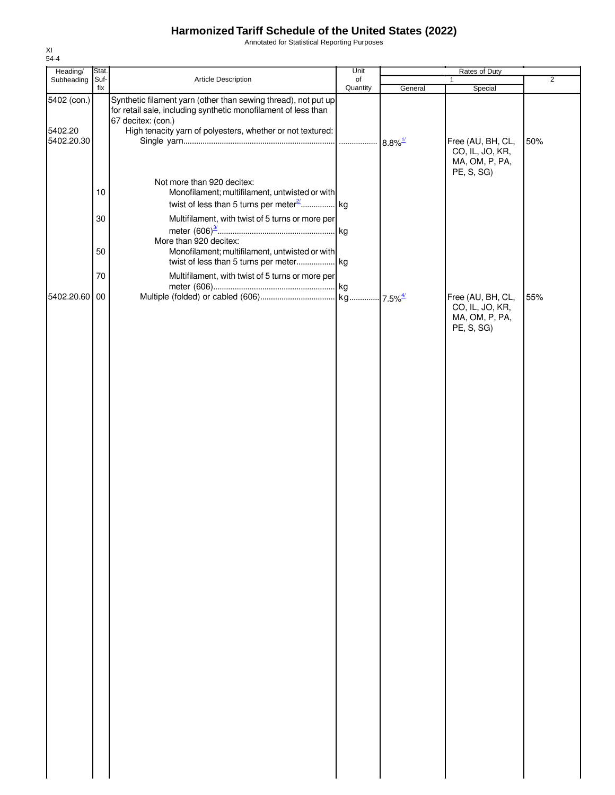Annotated for Statistical Reporting Purposes

| Heading/              | Stat.      |                                                                                                                                  | Unit     | Rates of Duty |                                                                      |                |
|-----------------------|------------|----------------------------------------------------------------------------------------------------------------------------------|----------|---------------|----------------------------------------------------------------------|----------------|
| Subheading            | Suf-       | Article Description                                                                                                              | of       |               |                                                                      | $\overline{2}$ |
| 5402 (con.)           | fix        | Synthetic filament yarn (other than sewing thread), not put up<br>for retail sale, including synthetic monofilament of less than | Quantity | General       | Special                                                              |                |
| 5402.20<br>5402.20.30 |            | 67 decitex: (con.)<br>High tenacity yarn of polyesters, whether or not textured:                                                 |          |               | Free (AU, BH, CL,<br>CO, IL, JO, KR,<br>MA, OM, P, PA,               | 50%            |
|                       | $10$<br>30 | Not more than 920 decitex:<br>Monofilament; multifilament, untwisted or with<br>Multifilament, with twist of 5 turns or more per |          |               | PE, S, SG)                                                           |                |
|                       | 50         | More than 920 decitex:<br>Monofilament; multifilament, untwisted or with                                                         |          |               |                                                                      |                |
|                       | 70         | Multifilament, with twist of 5 turns or more per                                                                                 |          |               |                                                                      |                |
| 5402.20.60            | 00         |                                                                                                                                  |          |               | Free (AU, BH, CL,<br>CO, IL, JO, KR,<br>MA, OM, P, PA,<br>PE, S, SG) | 55%            |
|                       |            |                                                                                                                                  |          |               |                                                                      |                |
|                       |            |                                                                                                                                  |          |               |                                                                      |                |
|                       |            |                                                                                                                                  |          |               |                                                                      |                |
|                       |            |                                                                                                                                  |          |               |                                                                      |                |
|                       |            |                                                                                                                                  |          |               |                                                                      |                |
|                       |            |                                                                                                                                  |          |               |                                                                      |                |
|                       |            |                                                                                                                                  |          |               |                                                                      |                |
|                       |            |                                                                                                                                  |          |               |                                                                      |                |
|                       |            |                                                                                                                                  |          |               |                                                                      |                |
|                       |            |                                                                                                                                  |          |               |                                                                      |                |
|                       |            |                                                                                                                                  |          |               |                                                                      |                |
|                       |            |                                                                                                                                  |          |               |                                                                      |                |
|                       |            |                                                                                                                                  |          |               |                                                                      |                |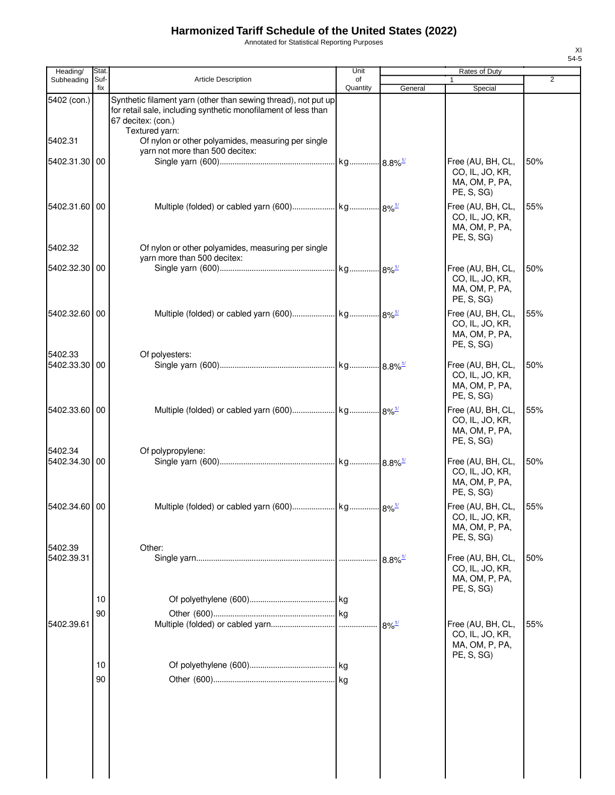Annotated for Statistical Reporting Purposes

| Heading/                 | Stat        |                                                                                                                                                                                                                                | Unit           |                       | Rates of Duty                                                                      |                |
|--------------------------|-------------|--------------------------------------------------------------------------------------------------------------------------------------------------------------------------------------------------------------------------------|----------------|-----------------------|------------------------------------------------------------------------------------|----------------|
| Subheading               | Suf-<br>fix | <b>Article Description</b>                                                                                                                                                                                                     | οf<br>Quantity | General               | 1<br>Special                                                                       | $\overline{2}$ |
| 5402 (con.)<br>5402.31   |             | Synthetic filament yarn (other than sewing thread), not put up<br>for retail sale, including synthetic monofilament of less than<br>67 decitex: (con.)<br>Textured yarn:<br>Of nylon or other polyamides, measuring per single |                |                       |                                                                                    |                |
| 5402.31.30               | 00          | yarn not more than 500 decitex:                                                                                                                                                                                                |                |                       | Free (AU, BH, CL,<br>CO, IL, JO, KR,<br>MA, OM, P, PA,                             | 50%            |
| 5402.31.60 00            |             |                                                                                                                                                                                                                                |                |                       | PE, S, SG)<br>Free (AU, BH, CL,<br>CO, IL, JO, KR,<br>MA, OM, P, PA,<br>PE, S, SG) | 55%            |
| 5402.32                  |             | Of nylon or other polyamides, measuring per single<br>yarn more than 500 decitex:                                                                                                                                              |                |                       |                                                                                    |                |
| 5402.32.30 00            |             |                                                                                                                                                                                                                                |                |                       | Free (AU, BH, CL,<br>CO, IL, JO, KR,<br>MA, OM, P, PA,<br>PE, S, SG)               | 50%            |
| 5402.32.60 00            |             |                                                                                                                                                                                                                                |                |                       | Free (AU, BH, CL,<br>CO, IL, JO, KR,<br>MA, OM, P, PA,<br>PE, S, SG)               | 55%            |
| 5402.33<br>5402.33.30 00 |             | Of polyesters:                                                                                                                                                                                                                 |                |                       | Free (AU, BH, CL,<br>CO, IL, JO, KR,<br>MA, OM, P, PA,<br>PE, S, SG)               | 50%            |
| 5402.33.60 00            |             |                                                                                                                                                                                                                                |                |                       | Free (AU, BH, CL,<br>CO, IL, JO, KR,<br>MA, OM, P, PA,<br>PE, S, SG)               | 55%            |
| 5402.34<br>5402.34.30 00 |             | Of polypropylene:                                                                                                                                                                                                              |                |                       | Free (AU, BH, CL,<br>CO, IL, JO, KR,<br>MA, OM, P, PA,<br>PE, S, SG)               | 50%            |
| 5402.34.60 00            |             |                                                                                                                                                                                                                                |                |                       | Free (AU, BH, CL,<br>CO, IL, JO, KR,<br>MA, OM, P, PA,<br>PE, S, SG)               | 55%            |
| 5402.39<br>5402.39.31    |             | Other:                                                                                                                                                                                                                         |                | $8.8\%$ <sup>1/</sup> | Free (AU, BH, CL,<br>CO, IL, JO, KR,<br>MA, OM, P, PA,<br>PE, S, SG)               | 50%            |
|                          | 10          |                                                                                                                                                                                                                                |                |                       |                                                                                    |                |
| 5402.39.61               | 90          |                                                                                                                                                                                                                                |                | $8\%$ <sup>1/</sup>   | Free (AU, BH, CL,<br>CO, IL, JO, KR,<br>MA, OM, P, PA,<br>PE, S, SG)               | 55%            |
|                          | 10<br>90    |                                                                                                                                                                                                                                |                |                       |                                                                                    |                |
|                          |             |                                                                                                                                                                                                                                |                |                       |                                                                                    |                |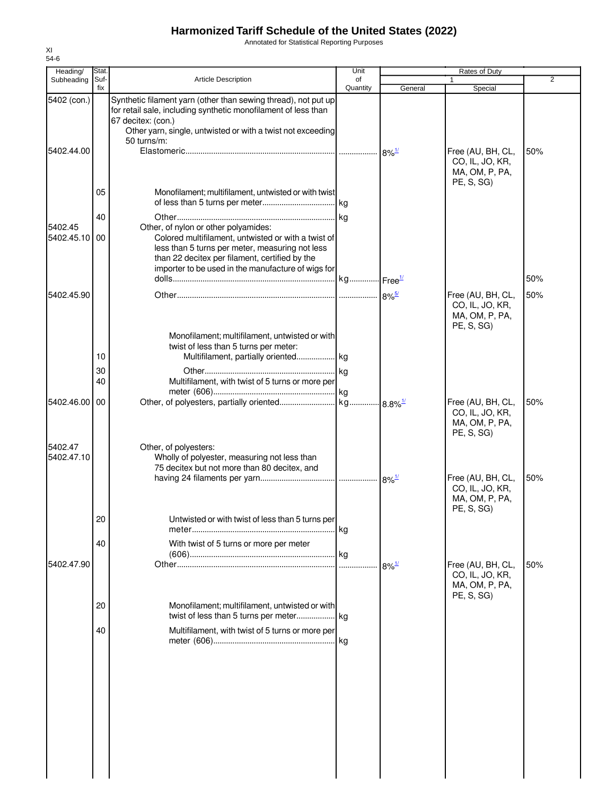Annotated for Statistical Reporting Purposes

| Heading/                 | Stat.       |                                                                                                                                                                                                                                                        | Unit     | Rates of Duty       |                                                                      |     |
|--------------------------|-------------|--------------------------------------------------------------------------------------------------------------------------------------------------------------------------------------------------------------------------------------------------------|----------|---------------------|----------------------------------------------------------------------|-----|
| Subheading               | Suf-<br>fix | <b>Article Description</b>                                                                                                                                                                                                                             | of       |                     | 1                                                                    | 2   |
| 5402 (con.)              |             | Synthetic filament yarn (other than sewing thread), not put up<br>for retail sale, including synthetic monofilament of less than<br>67 decitex: (con.)<br>Other yarn, single, untwisted or with a twist not exceeding                                  | Quantity | General             | Special                                                              |     |
| 5402.44.00               |             | 50 turns/m:                                                                                                                                                                                                                                            |          | $8\%$ <sup>1/</sup> | Free (AU, BH, CL,<br>CO, IL, JO, KR,                                 | 50% |
|                          | 05          | Monofilament; multifilament, untwisted or with twist                                                                                                                                                                                                   |          |                     | MA, OM, P, PA,<br>PE, S, SG                                          |     |
|                          | 40          |                                                                                                                                                                                                                                                        |          |                     |                                                                      |     |
| 5402.45<br>5402.45.10 00 |             | Other, of nylon or other polyamides:<br>Colored multifilament, untwisted or with a twist of<br>less than 5 turns per meter, measuring not less<br>than 22 decitex per filament, certified by the<br>importer to be used in the manufacture of wigs for |          |                     |                                                                      |     |
|                          |             |                                                                                                                                                                                                                                                        |          |                     |                                                                      | 50% |
| 5402.45.90               |             |                                                                                                                                                                                                                                                        |          |                     | Free (AU, BH, CL,<br>CO, IL, JO, KR,<br>MA, OM, P, PA,<br>PE, S, SG) | 50% |
|                          | 10          | Monofilament; multifilament, untwisted or with<br>twist of less than 5 turns per meter:<br>Multifilament, partially oriented kg                                                                                                                        |          |                     |                                                                      |     |
|                          | 30          |                                                                                                                                                                                                                                                        |          |                     |                                                                      |     |
|                          | 40          | Multifilament, with twist of 5 turns or more per                                                                                                                                                                                                       |          |                     |                                                                      |     |
| 5402.46.00 00            |             |                                                                                                                                                                                                                                                        |          |                     | Free (AU, BH, CL,<br>CO, IL, JO, KR,<br>MA, OM, P, PA,<br>PE, S, SG  | 50% |
| 5402.47<br>5402.47.10    |             | Other, of polyesters:<br>Wholly of polyester, measuring not less than<br>75 decitex but not more than 80 decitex, and                                                                                                                                  |          |                     |                                                                      |     |
|                          |             |                                                                                                                                                                                                                                                        |          |                     | Free (AU, BH, CL,<br>CO, IL, JO, KR,<br>MA, OM, P, PA,<br>PE, S, SG) | 50% |
|                          | 20          | Untwisted or with twist of less than 5 turns per                                                                                                                                                                                                       | .lkg     |                     |                                                                      |     |
| 5402.47.90               | 40          | With twist of 5 turns or more per meter                                                                                                                                                                                                                |          | $8\%$ <sup>1/</sup> | Free (AU, BH, CL,                                                    | 50% |
|                          |             |                                                                                                                                                                                                                                                        |          |                     | CO, IL, JO, KR,<br>MA, OM, P, PA,<br>PE, S, SG                       |     |
|                          | 20          | Monofilament; multifilament, untwisted or with                                                                                                                                                                                                         |          |                     |                                                                      |     |
|                          | 40          | Multifilament, with twist of 5 turns or more per                                                                                                                                                                                                       |          |                     |                                                                      |     |
|                          |             |                                                                                                                                                                                                                                                        |          |                     |                                                                      |     |
|                          |             |                                                                                                                                                                                                                                                        |          |                     |                                                                      |     |
|                          |             |                                                                                                                                                                                                                                                        |          |                     |                                                                      |     |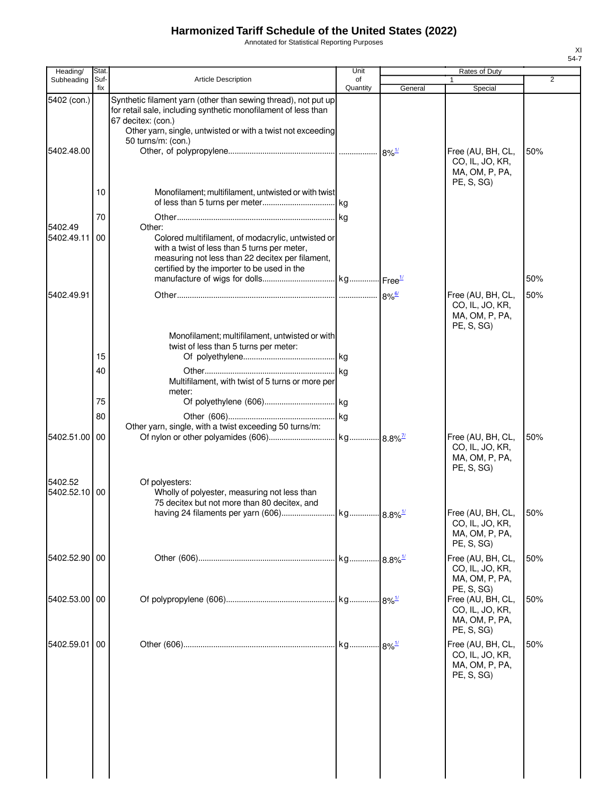Annotated for Statistical Reporting Purposes

| Heading/                 | <b>Stat</b> |                                                                                                                                                                                                                                             | Unit           |                       | Rates of Duty                                                        |                |
|--------------------------|-------------|---------------------------------------------------------------------------------------------------------------------------------------------------------------------------------------------------------------------------------------------|----------------|-----------------------|----------------------------------------------------------------------|----------------|
| Subheading               | Suf-<br>fix | <b>Article Description</b>                                                                                                                                                                                                                  | of<br>Quantity | General               | 1<br>Special                                                         | $\overline{2}$ |
| 5402 (con.)              |             | Synthetic filament yarn (other than sewing thread), not put up<br>for retail sale, including synthetic monofilament of less than<br>67 decitex: (con.)<br>Other yarn, single, untwisted or with a twist not exceeding<br>50 turns/m: (con.) |                |                       |                                                                      |                |
| 5402.48.00               |             |                                                                                                                                                                                                                                             |                |                       | Free (AU, BH, CL,<br>CO, IL, JO, KR,<br>MA, OM, P, PA,<br>PE, S, SG) | 50%            |
|                          | 10          | Monofilament; multifilament, untwisted or with twist                                                                                                                                                                                        |                |                       |                                                                      |                |
|                          | 70          |                                                                                                                                                                                                                                             |                |                       |                                                                      |                |
| 5402.49<br>5402.49.11    | 00          | Other:<br>Colored multifilament, of modacrylic, untwisted or<br>with a twist of less than 5 turns per meter,<br>measuring not less than 22 decitex per filament,<br>certified by the importer to be used in the                             |                |                       |                                                                      | 50%            |
|                          |             |                                                                                                                                                                                                                                             |                |                       |                                                                      |                |
| 5402.49.91               |             |                                                                                                                                                                                                                                             |                |                       | Free (AU, BH, CL,<br>CO, IL, JO, KR,<br>MA, OM, P, PA,<br>PE, S, SG) | 50%            |
|                          | 15          | Monofilament; multifilament, untwisted or with<br>twist of less than 5 turns per meter:                                                                                                                                                     |                |                       |                                                                      |                |
|                          | 40          |                                                                                                                                                                                                                                             |                |                       |                                                                      |                |
|                          |             | Multifilament, with twist of 5 turns or more per<br>meter:                                                                                                                                                                                  |                |                       |                                                                      |                |
|                          | 75          |                                                                                                                                                                                                                                             |                |                       |                                                                      |                |
|                          | 80          | Other yarn, single, with a twist exceeding 50 turns/m:                                                                                                                                                                                      |                |                       |                                                                      |                |
| 5402.51.00               | 00          |                                                                                                                                                                                                                                             |                |                       | Free (AU, BH, CL,<br>CO, IL, JO, KR,<br>MA, OM, P, PA,<br>PE, S, SG) | 50%            |
| 5402.52<br>5402.52.10 00 |             | Of polyesters:<br>Wholly of polyester, measuring not less than<br>75 decitex but not more than 80 decitex, and<br>having 24 filaments per yarn (606)                                                                                        | kg.            | $8.8\%$ <sup>1/</sup> | Free (AU, BH, CL,<br>CO, IL, JO, KR,                                 | 50%            |
|                          |             |                                                                                                                                                                                                                                             |                |                       | MA, OM, P, PA,<br>PE, S, SG)                                         |                |
| 5402.52.90 00            |             |                                                                                                                                                                                                                                             |                |                       | Free (AU, BH, CL,<br>CO, IL, JO, KR,<br>MA, OM, P, PA,<br>PE, S, SG) | 50%            |
| 5402.53.00 00            |             |                                                                                                                                                                                                                                             |                |                       | Free (AU, BH, CL,<br>CO, IL, JO, KR,<br>MA, OM, P, PA,<br>PE, S, SG) | 50%            |
| 5402.59.01               | 00          |                                                                                                                                                                                                                                             |                |                       | Free (AU, BH, CL,<br>CO, IL, JO, KR,<br>MA, OM, P, PA,<br>PE, S, SG) | 50%            |
|                          |             |                                                                                                                                                                                                                                             |                |                       |                                                                      |                |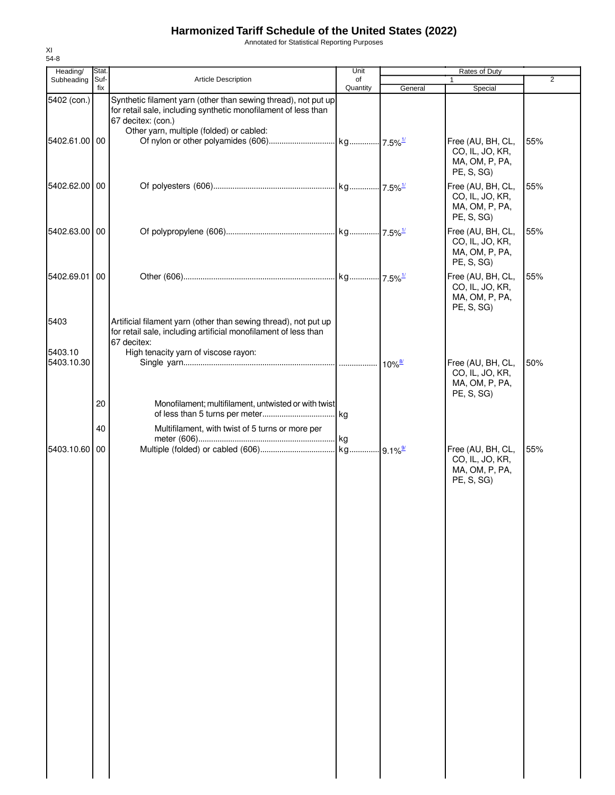Annotated for Statistical Reporting Purposes

| Heading/              | Stat.       |                                                                                                                                                        | Unit           | Rates of Duty        |                                                                      |                |
|-----------------------|-------------|--------------------------------------------------------------------------------------------------------------------------------------------------------|----------------|----------------------|----------------------------------------------------------------------|----------------|
| Subheading            | Suf-<br>fix | Article Description                                                                                                                                    | of<br>Quantity | General              | Special                                                              | $\overline{2}$ |
| 5402 (con.)           |             | Synthetic filament yarn (other than sewing thread), not put up<br>for retail sale, including synthetic monofilament of less than<br>67 decitex: (con.) |                |                      |                                                                      |                |
| 5402.61.00 00         |             | Other yarn, multiple (folded) or cabled:                                                                                                               |                |                      | Free (AU, BH, CL,<br>CO, IL, JO, KR,<br>MA, OM, P, PA,<br>PE, S, SG) | 55%            |
| 5402.62.00 00         |             |                                                                                                                                                        |                |                      | Free (AU, BH, CL,<br>CO, IL, JO, KR,<br>MA, OM, P, PA,<br>PE, S, SG) | 55%            |
| 5402.63.00 00         |             |                                                                                                                                                        |                |                      | Free (AU, BH, CL,<br>CO, IL, JO, KR,<br>MA, OM, P, PA,<br>PE, S, SG) | 55%            |
| 5402.69.01            | 00          |                                                                                                                                                        |                |                      | Free (AU, BH, CL,<br>CO, IL, JO, KR,<br>MA, OM, P, PA,<br>PE, S, SG) | 55%            |
| 5403                  |             | Artificial filament yarn (other than sewing thread), not put up<br>for retail sale, including artificial monofilament of less than<br>67 decitex:      |                |                      |                                                                      |                |
| 5403.10<br>5403.10.30 |             | High tenacity yarn of viscose rayon:                                                                                                                   |                | $10\%$ <sup>8/</sup> | Free (AU, BH, CL,<br>CO, IL, JO, KR,<br>MA, OM, P, PA,               | 50%            |
|                       | 20          | Monofilament; multifilament, untwisted or with twist                                                                                                   |                |                      | PE, S, SG)                                                           |                |
|                       | 40          | Multifilament, with twist of 5 turns or more per                                                                                                       |                |                      |                                                                      |                |
| 5403.10.60 00         |             |                                                                                                                                                        |                |                      | Free (AU, BH, CL,<br>CO, IL, JO, KR,<br>MA, OM, P, PA,               | 55%            |
|                       |             |                                                                                                                                                        |                |                      | PE, S, SG)                                                           |                |
|                       |             |                                                                                                                                                        |                |                      |                                                                      |                |
|                       |             |                                                                                                                                                        |                |                      |                                                                      |                |
|                       |             |                                                                                                                                                        |                |                      |                                                                      |                |
|                       |             |                                                                                                                                                        |                |                      |                                                                      |                |
|                       |             |                                                                                                                                                        |                |                      |                                                                      |                |
|                       |             |                                                                                                                                                        |                |                      |                                                                      |                |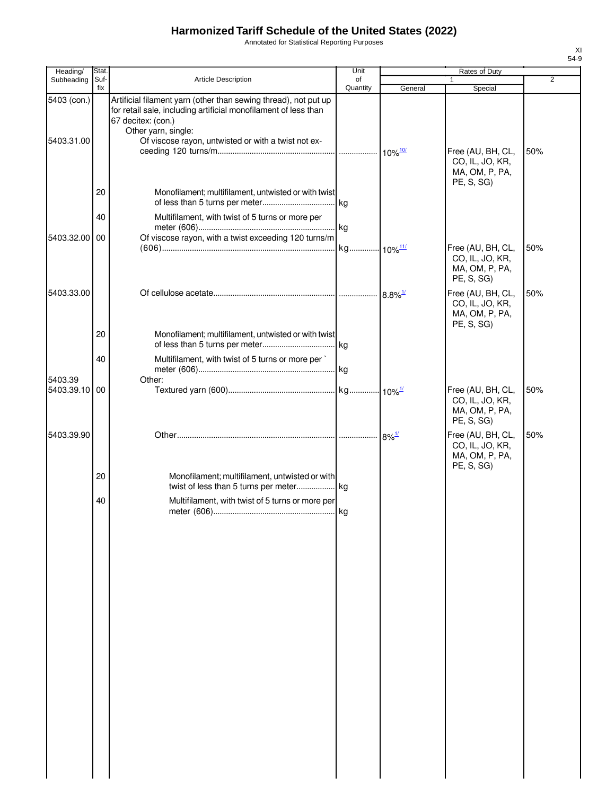Annotated for Statistical Reporting Purposes

| Heading/                  | Stat.       |                                                                                                                                                                                                                                        | Unit           |         | Rates of Duty                                                                      |                |
|---------------------------|-------------|----------------------------------------------------------------------------------------------------------------------------------------------------------------------------------------------------------------------------------------|----------------|---------|------------------------------------------------------------------------------------|----------------|
| Subheading                | Suf-<br>fix | <b>Article Description</b>                                                                                                                                                                                                             | of<br>Quantity | General | 1<br>Special                                                                       | $\overline{2}$ |
| 5403 (con.)<br>5403.31.00 |             | Artificial filament yarn (other than sewing thread), not put up<br>for retail sale, including artificial monofilament of less than<br>67 decitex: (con.)<br>Other yarn, single:<br>Of viscose rayon, untwisted or with a twist not ex- |                |         | Free (AU, BH, CL,<br>CO, IL, JO, KR,<br>MA, OM, P, PA,                             | 50%            |
|                           | 20          | Monofilament; multifilament, untwisted or with twist                                                                                                                                                                                   |                |         | PE, S, SG)                                                                         |                |
|                           |             |                                                                                                                                                                                                                                        |                |         |                                                                                    |                |
|                           | 40          | Multifilament, with twist of 5 turns or more per                                                                                                                                                                                       |                |         |                                                                                    |                |
| 5403.32.00 00             |             | Of viscose rayon, with a twist exceeding 120 turns/m                                                                                                                                                                                   |                |         | Free (AU, BH, CL,<br>CO, IL, JO, KR,<br>MA, OM, P, PA,                             | 50%            |
| 5403.33.00                |             |                                                                                                                                                                                                                                        |                |         | PE, S, SG)<br>Free (AU, BH, CL,<br>CO, IL, JO, KR,<br>MA, OM, P, PA,<br>PE, S, SG) | 50%            |
|                           | 20          | Monofilament; multifilament, untwisted or with twist                                                                                                                                                                                   |                |         |                                                                                    |                |
|                           | 40          | Multifilament, with twist of 5 turns or more per                                                                                                                                                                                       |                |         |                                                                                    |                |
| 5403.39                   |             | Other:                                                                                                                                                                                                                                 |                |         |                                                                                    |                |
| 5403.39.10 00             |             |                                                                                                                                                                                                                                        |                |         | Free (AU, BH, CL,<br>CO, IL, JO, KR,<br>MA, OM, P, PA,<br>PE, S, SG)               | 50%            |
| 5403.39.90                |             |                                                                                                                                                                                                                                        |                |         | Free (AU, BH, CL,<br>CO, IL, JO, KR,<br>MA, OM, P, PA,<br>PE, S, SG)               | 50%            |
|                           | 20          | Monofilament; multifilament, untwisted or with                                                                                                                                                                                         |                |         |                                                                                    |                |
|                           | 40          | Multifilament, with twist of 5 turns or more per                                                                                                                                                                                       |                |         |                                                                                    |                |
|                           |             |                                                                                                                                                                                                                                        |                |         |                                                                                    |                |
|                           |             |                                                                                                                                                                                                                                        |                |         |                                                                                    |                |
|                           |             |                                                                                                                                                                                                                                        |                |         |                                                                                    |                |
|                           |             |                                                                                                                                                                                                                                        |                |         |                                                                                    |                |
|                           |             |                                                                                                                                                                                                                                        |                |         |                                                                                    |                |
|                           |             |                                                                                                                                                                                                                                        |                |         |                                                                                    |                |
|                           |             |                                                                                                                                                                                                                                        |                |         |                                                                                    |                |
|                           |             |                                                                                                                                                                                                                                        |                |         |                                                                                    |                |
|                           |             |                                                                                                                                                                                                                                        |                |         |                                                                                    |                |
|                           |             |                                                                                                                                                                                                                                        |                |         |                                                                                    |                |
|                           |             |                                                                                                                                                                                                                                        |                |         |                                                                                    |                |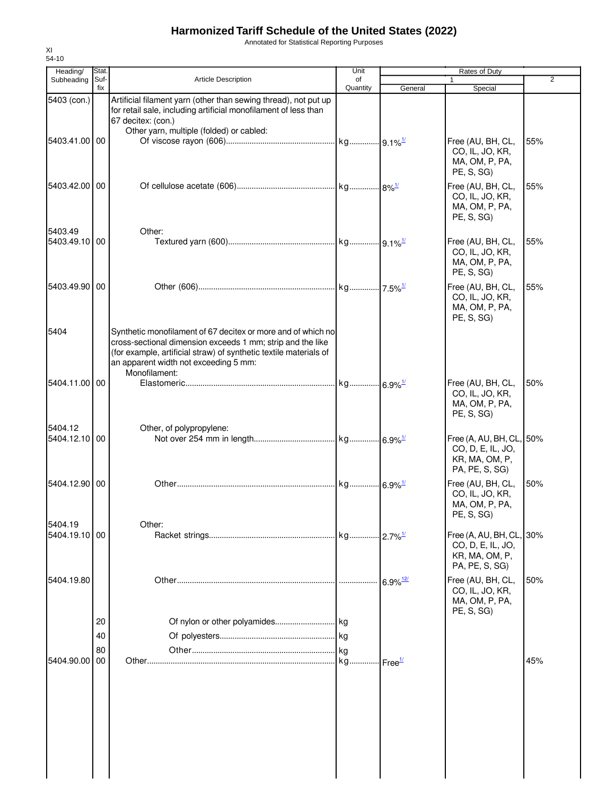Annotated for Statistical Reporting Purposes

| Heading/                 | Stat.          |                                                                                                                                                                                                                                                           | Unit           |                        | Rates of Duty                                                                     |     |
|--------------------------|----------------|-----------------------------------------------------------------------------------------------------------------------------------------------------------------------------------------------------------------------------------------------------------|----------------|------------------------|-----------------------------------------------------------------------------------|-----|
| Subheading               | Suf-<br>fix    | <b>Article Description</b>                                                                                                                                                                                                                                | of<br>Quantity | General                | $\mathbf{1}$<br>Special                                                           | 2   |
| 5403 (con.)              |                | Artificial filament yarn (other than sewing thread), not put up<br>for retail sale, including artificial monofilament of less than<br>67 decitex: (con.)<br>Other yarn, multiple (folded) or cabled:                                                      |                |                        |                                                                                   |     |
| 5403.41.00 00            |                |                                                                                                                                                                                                                                                           |                |                        | Free (AU, BH, CL,<br>CO, IL, JO, KR,<br>MA, OM, P, PA,<br>PE, S, SG)              | 55% |
| 5403.42.00 00            |                |                                                                                                                                                                                                                                                           |                |                        | Free (AU, BH, CL,<br>CO, IL, JO, KR,<br>MA, OM, P, PA,<br>PE, S, SG)              | 55% |
| 5403.49<br>5403.49.10 00 |                | Other:                                                                                                                                                                                                                                                    |                |                        | Free (AU, BH, CL,<br>CO, IL, JO, KR,<br>MA, OM, P, PA,<br>PE, S, SG)              | 55% |
| 5403.49.90 00            |                |                                                                                                                                                                                                                                                           |                |                        | Free (AU, BH, CL,<br>CO, IL, JO, KR,<br>MA, OM, P, PA,<br>PE, S, SG)              | 55% |
| 5404                     |                | Synthetic monofilament of 67 decitex or more and of which no<br>cross-sectional dimension exceeds 1 mm; strip and the like<br>(for example, artificial straw) of synthetic textile materials of<br>an apparent width not exceeding 5 mm:<br>Monofilament: |                |                        |                                                                                   |     |
| 5404.11.00 00            |                |                                                                                                                                                                                                                                                           |                |                        | Free (AU, BH, CL,<br>CO, IL, JO, KR,<br>MA, OM, P, PA,<br>PE, S, SG)              | 50% |
| 5404.12<br>5404.12.10 00 |                | Other, of polypropylene:                                                                                                                                                                                                                                  |                |                        | Free (A, AU, BH, CL, 50%<br>CO, D, E, IL, JO,<br>KR, MA, OM, P,<br>PA, PE, S, SG) |     |
| 5404.12.90 00            |                |                                                                                                                                                                                                                                                           |                |                        | Free (AU, BH, CL,<br>CO, IL, JO, KR,<br>MA, OM, P, PA,<br>PE, S, SG)              | 50% |
| 5404.19<br>5404.19.10 00 |                | Other:                                                                                                                                                                                                                                                    |                |                        | Free (A, AU, BH, CL, 30%<br>CO, D, E, IL, JO,<br>KR, MA, OM, P,<br>PA, PE, S, SG) |     |
| 5404.19.80               |                |                                                                                                                                                                                                                                                           |                | $6.9\%$ <sup>12/</sup> | Free (AU, BH, CL,<br>CO, IL, JO, KR,<br>MA, OM, P, PA,<br>PE, S, SG)              | 50% |
|                          | 20<br>40<br>80 |                                                                                                                                                                                                                                                           |                |                        |                                                                                   |     |
| 5404.90.00               | 00             |                                                                                                                                                                                                                                                           |                |                        |                                                                                   | 45% |
|                          |                |                                                                                                                                                                                                                                                           |                |                        |                                                                                   |     |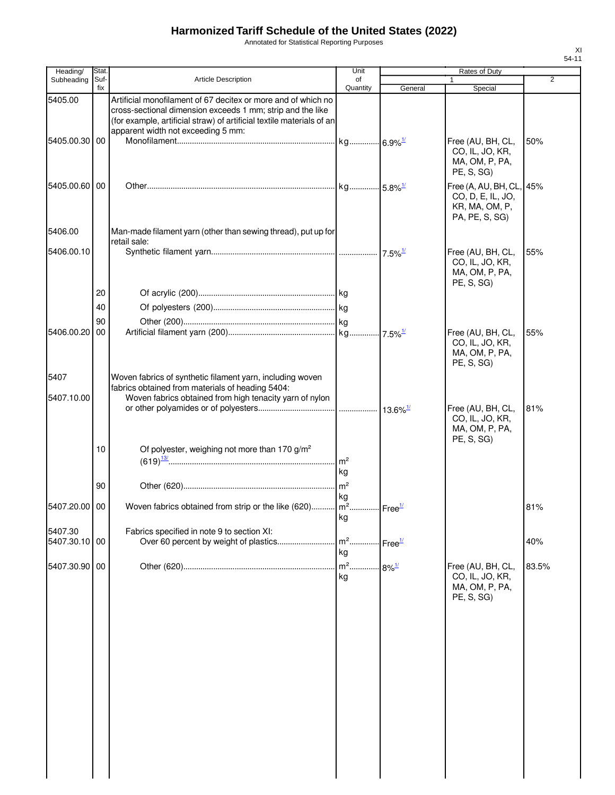Annotated for Statistical Reporting Purposes

| Heading/                 | <b>Stat</b> |                                                                                                                                                                                                                                            | Unit           |                            | Rates of Duty                                                                     |                |
|--------------------------|-------------|--------------------------------------------------------------------------------------------------------------------------------------------------------------------------------------------------------------------------------------------|----------------|----------------------------|-----------------------------------------------------------------------------------|----------------|
| Subheading               | Suf-<br>fix | <b>Article Description</b>                                                                                                                                                                                                                 | of<br>Quantity | General                    | 1                                                                                 | $\overline{2}$ |
| 5405.00                  |             | Artificial monofilament of 67 decitex or more and of which no<br>cross-sectional dimension exceeds 1 mm; strip and the like<br>(for example, artificial straw) of artificial textile materials of an<br>apparent width not exceeding 5 mm: |                |                            | Special                                                                           |                |
| 5405.00.30               | 00          |                                                                                                                                                                                                                                            |                |                            | Free (AU, BH, CL,<br>CO, IL, JO, KR,<br>MA, OM, P, PA,<br>PE, S, SG)              | 50%            |
| 5405.00.60 00            |             |                                                                                                                                                                                                                                            |                |                            | Free (A, AU, BH, CL, 45%<br>CO, D, E, IL, JO,<br>KR, MA, OM, P,<br>PA, PE, S, SG) |                |
| 5406.00                  |             | Man-made filament yarn (other than sewing thread), put up for<br>retail sale:                                                                                                                                                              |                |                            |                                                                                   |                |
| 5406.00.10               |             |                                                                                                                                                                                                                                            |                | $\cdot$ 7.5% $\frac{1}{2}$ | Free (AU, BH, CL,<br>CO, IL, JO, KR,<br>MA, OM, P, PA,<br>PE, S, SG)              | 55%            |
|                          | 20          |                                                                                                                                                                                                                                            |                |                            |                                                                                   |                |
|                          | 40          |                                                                                                                                                                                                                                            |                |                            |                                                                                   |                |
| 5406.00.20               | 90<br>00    |                                                                                                                                                                                                                                            |                |                            | Free (AU, BH, CL,<br>CO, IL, JO, KR,<br>MA, OM, P, PA,<br>PE, S, SG)              | 55%            |
| 5407                     |             | Woven fabrics of synthetic filament yarn, including woven<br>fabrics obtained from materials of heading 5404:                                                                                                                              |                |                            |                                                                                   |                |
| 5407.10.00               |             | Woven fabrics obtained from high tenacity yarn of nylon                                                                                                                                                                                    |                |                            | Free (AU, BH, CL,<br>CO, IL, JO, KR,<br>MA, OM, P, PA,                            | 81%            |
|                          | 10          | Of polyester, weighing not more than 170 g/m <sup>2</sup>                                                                                                                                                                                  | kg             |                            | PE, S, SG)                                                                        |                |
|                          | 90          |                                                                                                                                                                                                                                            | kg             |                            |                                                                                   |                |
| 5407.20.00 00            |             | Woven fabrics obtained from strip or the like (620)   m <sup>2</sup>   Free <sup>1/</sup>                                                                                                                                                  | kg             |                            |                                                                                   | 81%            |
| 5407.30<br>5407.30.10 00 |             | Fabrics specified in note 9 to section XI:<br>Over 60 percent by weight of plastics                                                                                                                                                        | $m2$<br>kg     | Free <sup>1/</sup>         |                                                                                   | 40%            |
| 5407.30.90 00            |             |                                                                                                                                                                                                                                            | $m2$<br>kg     | $-8\%$ <sup>1/</sup>       | Free (AU, BH, CL,<br>CO, IL, JO, KR,<br>MA, OM, P, PA,<br>PE, S, SG)              | 83.5%          |
|                          |             |                                                                                                                                                                                                                                            |                |                            |                                                                                   |                |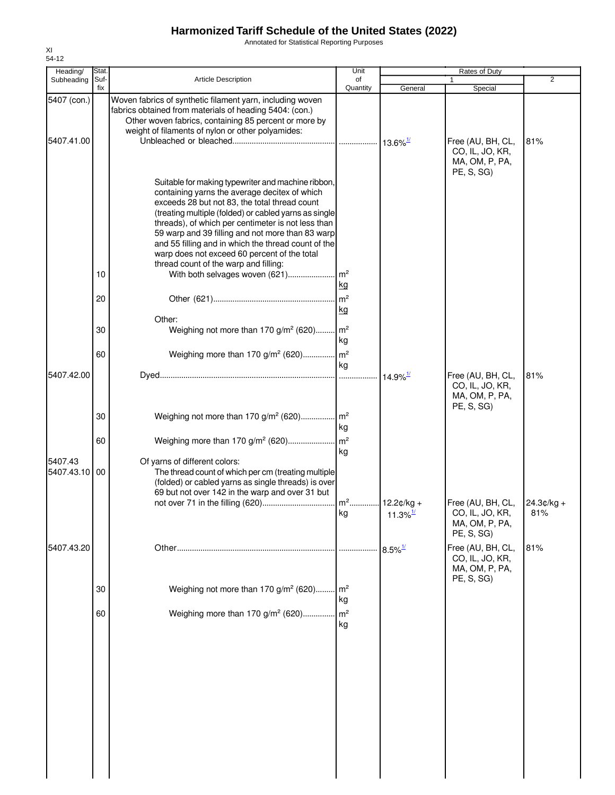Annotated for Statistical Reporting Purposes

| Heading/                  | Stat.       |                                                                                                                                                                                                                                                                                                                                                                                                                                                                         | Unit                    | Rates of Duty          |                                                                      |                     |
|---------------------------|-------------|-------------------------------------------------------------------------------------------------------------------------------------------------------------------------------------------------------------------------------------------------------------------------------------------------------------------------------------------------------------------------------------------------------------------------------------------------------------------------|-------------------------|------------------------|----------------------------------------------------------------------|---------------------|
| Subheading                | Suf-<br>fix | <b>Article Description</b>                                                                                                                                                                                                                                                                                                                                                                                                                                              | of<br>Quantity          | General                | 1<br>Special                                                         | $\overline{2}$      |
| 5407 (con.)<br>5407.41.00 |             | Woven fabrics of synthetic filament yarn, including woven<br>fabrics obtained from materials of heading 5404: (con.)<br>Other woven fabrics, containing 85 percent or more by<br>weight of filaments of nylon or other polyamides:                                                                                                                                                                                                                                      |                         |                        | Free (AU, BH, CL,<br>CO, IL, JO, KR,<br>MA, OM, P, PA,               | 81%                 |
|                           | 10          | Suitable for making typewriter and machine ribbon,<br>containing yarns the average decitex of which<br>exceeds 28 but not 83, the total thread count<br>(treating multiple (folded) or cabled yarns as single<br>threads), of which per centimeter is not less than<br>59 warp and 39 filling and not more than 83 warp<br>and 55 filling and in which the thread count of the<br>warp does not exceed 60 percent of the total<br>thread count of the warp and filling: | <u>kg</u>               |                        | PE, S, SG)                                                           |                     |
|                           | 20<br>30    | Other:<br>Weighing not more than 170 g/m <sup>2</sup> (620) m <sup>2</sup>                                                                                                                                                                                                                                                                                                                                                                                              | kg<br>kg                |                        |                                                                      |                     |
|                           | 60          | Weighing more than 170 g/m <sup>2</sup> (620) m <sup>2</sup>                                                                                                                                                                                                                                                                                                                                                                                                            |                         |                        |                                                                      |                     |
| 5407.42.00                |             |                                                                                                                                                                                                                                                                                                                                                                                                                                                                         | kg                      |                        | Free (AU, BH, CL,<br>CO, IL, JO, KR,                                 | 81%                 |
|                           | 30          | Weighing not more than 170 g/m <sup>2</sup> (620) m <sup>2</sup>                                                                                                                                                                                                                                                                                                                                                                                                        | kg                      |                        | MA, OM, P, PA,<br>PE, S, SG)                                         |                     |
| 5407.43<br>5407.43.10 00  | 60          | Of yarns of different colors:<br>The thread count of which per cm (treating multiple<br>(folded) or cabled yarns as single threads) is over<br>69 but not over 142 in the warp and over 31 but                                                                                                                                                                                                                                                                          | kg                      |                        |                                                                      |                     |
|                           |             |                                                                                                                                                                                                                                                                                                                                                                                                                                                                         | kg                      | $11.3\%$ <sup>1/</sup> | Free (AU, BH, CL,<br>CO, IL, JO, KR,<br>MA, OM, P, PA,<br>PE, S, SG) | $24.3¢/kg +$<br>81% |
| 5407.43.20                |             |                                                                                                                                                                                                                                                                                                                                                                                                                                                                         | .                       | $8.5\%$ <sup>1/</sup>  | Free (AU, BH, CL,<br>CO, IL, JO, KR,<br>MA, OM, P, PA,               | 81%                 |
|                           | 30          | Weighing not more than 170 g/m <sup>2</sup> (620)                                                                                                                                                                                                                                                                                                                                                                                                                       | . $\mathsf{Im}^2$<br>kg |                        | PE, S, SG)                                                           |                     |
|                           | 60          | Weighing more than 170 g/m <sup>2</sup> (620)                                                                                                                                                                                                                                                                                                                                                                                                                           | m <sup>2</sup><br>kg    |                        |                                                                      |                     |
|                           |             |                                                                                                                                                                                                                                                                                                                                                                                                                                                                         |                         |                        |                                                                      |                     |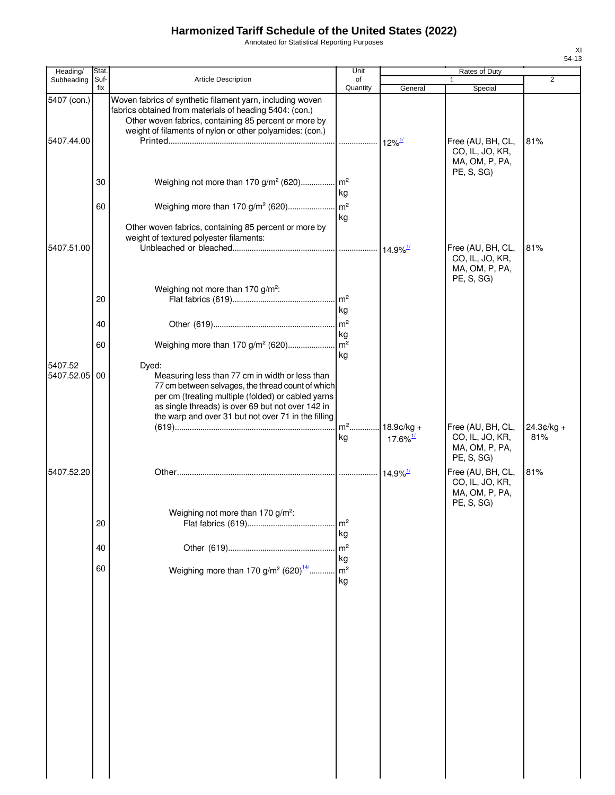Annotated for Statistical Reporting Purposes

| Heading/                  | <b>Stat</b> |                                                                                                                                                                                                                                                                                 | Unit                                   |                        | Rates of Duty                                                        |                |
|---------------------------|-------------|---------------------------------------------------------------------------------------------------------------------------------------------------------------------------------------------------------------------------------------------------------------------------------|----------------------------------------|------------------------|----------------------------------------------------------------------|----------------|
| Subheading                | Suf-<br>fix | <b>Article Description</b>                                                                                                                                                                                                                                                      | of<br>Quantity                         | General                | $\mathbf{1}$<br>Special                                              | $\overline{2}$ |
| 5407 (con.)<br>5407.44.00 |             | Woven fabrics of synthetic filament yarn, including woven<br>fabrics obtained from materials of heading 5404: (con.)<br>Other woven fabrics, containing 85 percent or more by<br>weight of filaments of nylon or other polyamides: (con.)                                       |                                        |                        | Free (AU, BH, CL,<br>CO, IL, JO, KR,<br>MA, OM, P, PA,               | 81%            |
|                           | 30          | Weighing not more than 170 g/m <sup>2</sup> (620) m <sup>2</sup>                                                                                                                                                                                                                | kg                                     |                        | PE, S, SG)                                                           |                |
|                           | 60          | Other woven fabrics, containing 85 percent or more by<br>weight of textured polyester filaments:                                                                                                                                                                                | kg                                     |                        |                                                                      |                |
| 5407.51.00                |             | Weighing not more than 170 g/m <sup>2</sup> :                                                                                                                                                                                                                                   |                                        |                        | Free (AU, BH, CL,<br>CO, IL, JO, KR,<br>MA, OM, P, PA,<br>PE, S, SG) | 81%            |
|                           | 20<br>40    |                                                                                                                                                                                                                                                                                 | m <sup>2</sup><br>kg<br>m <sup>2</sup> |                        |                                                                      |                |
|                           | 60          | Weighing more than 170 g/m <sup>2</sup> (620)                                                                                                                                                                                                                                   | kg<br>$m^2$<br>kg                      |                        |                                                                      |                |
| 5407.52<br>5407.52.05     | 00          | Dyed:<br>Measuring less than 77 cm in width or less than<br>77 cm between selvages, the thread count of which<br>per cm (treating multiple (folded) or cabled yarns<br>as single threads) is over 69 but not over 142 in<br>the warp and over 31 but not over 71 in the filling | $m2$                                   | $18.9$ ¢/kg +          | Free (AU, BH, CL,                                                    | $24.3¢/kg +$   |
|                           |             |                                                                                                                                                                                                                                                                                 | kg                                     | $17.6\%$ <sup>1/</sup> | CO, IL, JO, KR,<br>MA, OM, P, PA,<br>PE, S, SG)                      | 81%            |
| 5407.52.20                |             |                                                                                                                                                                                                                                                                                 |                                        | $14.9\%$ <sup>1/</sup> | Free (AU, BH, CL,<br>CO, IL, JO, KR,<br>MA, OM, P, PA,<br>PE, S, SG) | 81%            |
|                           | 20          | Weighing not more than 170 g/m <sup>2</sup> :                                                                                                                                                                                                                                   | m <sup>2</sup><br>kg                   |                        |                                                                      |                |
|                           | 40<br>60    | Weighing more than 170 g/m <sup>2</sup> (620) <sup>14/</sup>                                                                                                                                                                                                                    | m <sup>2</sup><br>kg<br>m <sup>2</sup> |                        |                                                                      |                |
|                           |             |                                                                                                                                                                                                                                                                                 | kg                                     |                        |                                                                      |                |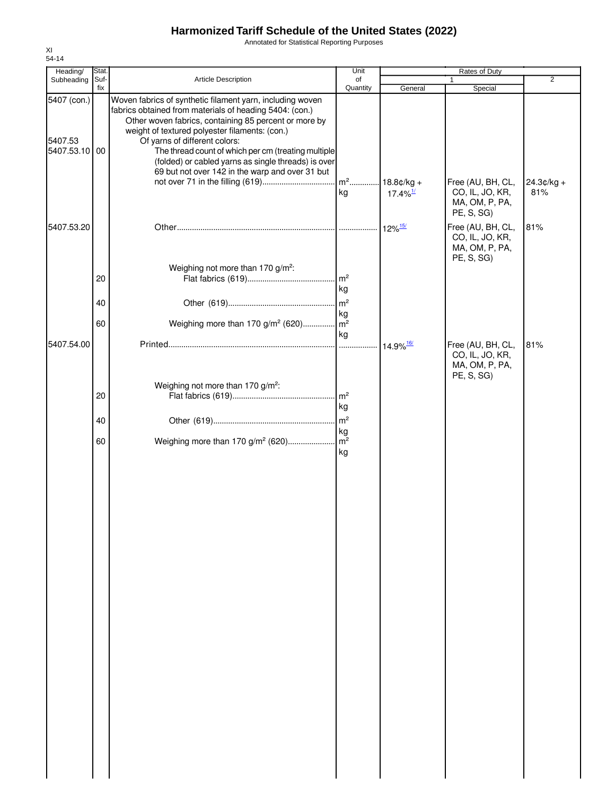Annotated for Statistical Reporting Purposes

| Heading/                                | Stat.       |                                                                                                                                                                                                                                                                                                                                                                                                                                   | Unit                                   | Rates of Duty                           |                                                                                 |                     |
|-----------------------------------------|-------------|-----------------------------------------------------------------------------------------------------------------------------------------------------------------------------------------------------------------------------------------------------------------------------------------------------------------------------------------------------------------------------------------------------------------------------------|----------------------------------------|-----------------------------------------|---------------------------------------------------------------------------------|---------------------|
| Subheading                              | Suf-<br>fix | Article Description                                                                                                                                                                                                                                                                                                                                                                                                               | of<br>Quantity                         | General                                 | 1                                                                               | $\overline{2}$      |
| 5407 (con.)<br>5407.53<br>5407.53.10 00 |             | Woven fabrics of synthetic filament yarn, including woven<br>fabrics obtained from materials of heading 5404: (con.)<br>Other woven fabrics, containing 85 percent or more by<br>weight of textured polyester filaments: (con.)<br>Of yarns of different colors:<br>The thread count of which per cm (treating multiple<br>(folded) or cabled yarns as single threads) is over<br>69 but not over 142 in the warp and over 31 but | $m^2$<br>kg                            | $18.8$ ¢/kg +<br>$17.4\%$ <sup>1/</sup> | Special<br>Free (AU, BH, CL,<br>CO, IL, JO, KR,<br>MA, OM, P, PA,<br>PE, S, SG) | $24.3¢/kg +$<br>81% |
| 5407.53.20                              | 20<br>40    | Weighing not more than 170 g/m <sup>2</sup> :                                                                                                                                                                                                                                                                                                                                                                                     | m <sup>2</sup><br>kg<br>m <sup>2</sup> | $12\%$ <sup>15/</sup>                   | Free (AU, BH, CL,<br>CO, IL, JO, KR,<br>MA, OM, P, PA,<br>PE, S, SG)            | 81%                 |
|                                         |             |                                                                                                                                                                                                                                                                                                                                                                                                                                   | kg                                     |                                         |                                                                                 |                     |
|                                         | 60          | Weighing more than 170 g/m <sup>2</sup> (620)                                                                                                                                                                                                                                                                                                                                                                                     | m <sup>2</sup>                         |                                         |                                                                                 |                     |
| 5407.54.00                              | 20          | Weighing not more than 170 g/m <sup>2</sup> :                                                                                                                                                                                                                                                                                                                                                                                     | kg<br>.<br>m <sup>2</sup>              | 14.9% 16/                               | Free (AU, BH, CL,<br>CO, IL, JO, KR,<br>MA, OM, P, PA,<br>PE, S, SG)            | 81%                 |
|                                         |             |                                                                                                                                                                                                                                                                                                                                                                                                                                   | kg                                     |                                         |                                                                                 |                     |
|                                         |             |                                                                                                                                                                                                                                                                                                                                                                                                                                   | $\mathsf{m}^2$                         |                                         |                                                                                 |                     |
|                                         | 40<br>60    | Weighing more than 170 g/m <sup>2</sup> (620)                                                                                                                                                                                                                                                                                                                                                                                     | kg<br>m <sup>2</sup><br>kg             |                                         |                                                                                 |                     |
|                                         |             |                                                                                                                                                                                                                                                                                                                                                                                                                                   |                                        |                                         |                                                                                 |                     |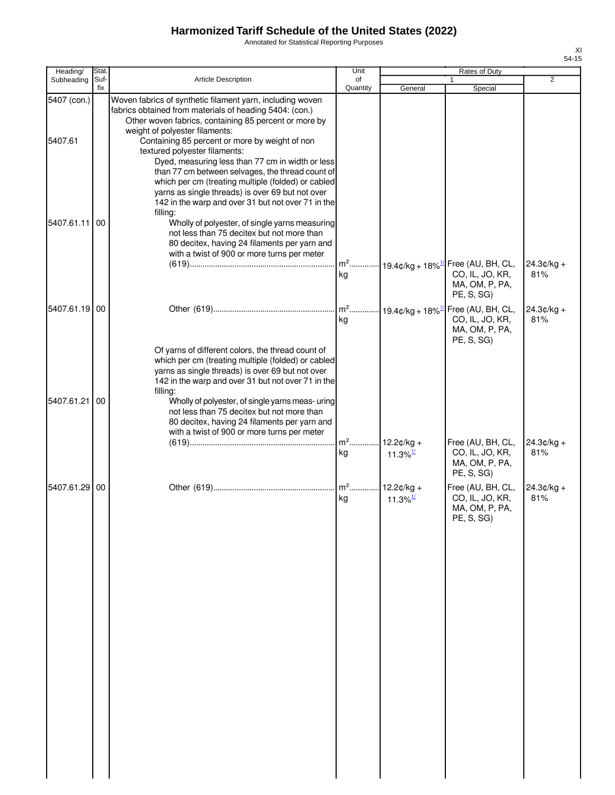Annotated for Statistical Reporting Purposes

| Heading/               | Stat.       |                                                                                                                                                                                                                                                                                                                                                                                                                                                                  | Unit           |                                        | Rates of Duty                                                                                      |                     |
|------------------------|-------------|------------------------------------------------------------------------------------------------------------------------------------------------------------------------------------------------------------------------------------------------------------------------------------------------------------------------------------------------------------------------------------------------------------------------------------------------------------------|----------------|----------------------------------------|----------------------------------------------------------------------------------------------------|---------------------|
| Subheading             | Suf-<br>fix | Article Description                                                                                                                                                                                                                                                                                                                                                                                                                                              | of<br>Quantity | General                                | Special                                                                                            | 2                   |
| 5407 (con.)<br>5407.61 |             | Woven fabrics of synthetic filament yarn, including woven<br>fabrics obtained from materials of heading 5404: (con.)<br>Other woven fabrics, containing 85 percent or more by<br>weight of polyester filaments:<br>Containing 85 percent or more by weight of non<br>textured polyester filaments:<br>Dyed, measuring less than 77 cm in width or less<br>than 77 cm between selvages, the thread count of<br>which per cm (treating multiple (folded) or cabled |                |                                        |                                                                                                    |                     |
| 5407.61.11             | 00          | yarns as single threads) is over 69 but not over<br>142 in the warp and over 31 but not over 71 in the<br>filling:<br>Wholly of polyester, of single yarns measuring<br>not less than 75 decitex but not more than<br>80 decitex, having 24 filaments per yarn and<br>with a twist of 900 or more turns per meter                                                                                                                                                | kg             |                                        | m <sup>2</sup> 19.4¢/kg + 18% <sup>1/</sup> Free (AU, BH, CL,<br>CO, IL, JO, KR,<br>MA, OM, P, PA, | $24.3¢/kg +$<br>81% |
| 5407.61.19 00          |             |                                                                                                                                                                                                                                                                                                                                                                                                                                                                  | $m2$<br>kg     |                                        | PE, S, SG)<br>$-19.4$ ¢/kg + 18% $^{1/2}$ Free (AU, BH, CL,<br>CO, IL, JO, KR,<br>MA, OM, P, PA,   | $24.3¢/kg +$<br>81% |
| 5407.61.21             | 00          | Of yarns of different colors, the thread count of<br>which per cm (treating multiple (folded) or cabled<br>yarns as single threads) is over 69 but not over<br>142 in the warp and over 31 but not over 71 in the<br>filling:<br>Wholly of polyester, of single yarns meas- uring<br>not less than 75 decitex but not more than<br>80 decitex, having 24 filaments per yarn and<br>with a twist of 900 or more turns per meter                                   | $m2$ .<br>kg   | $12.2¢/kg +$<br>$11.3\%$ <sup>1/</sup> | PE, S, SG)<br>Free (AU, BH, CL,<br>CO, IL, JO, KR,<br>MA, OM, P, PA,                               | $24.3¢/kg +$<br>81% |
| 5407.61.29             | 00          |                                                                                                                                                                                                                                                                                                                                                                                                                                                                  | $m2$<br>kg     | $12.2¢/kg +$<br>11.3% $\frac{1}{2}$    | PE, S, SG)<br>Free (AU, BH, CL,<br>CO, IL, JO, KR,<br>MA, OM, P, PA,<br>PE, S, SG                  | $24.3¢/kg +$<br>81% |
|                        |             |                                                                                                                                                                                                                                                                                                                                                                                                                                                                  |                |                                        |                                                                                                    |                     |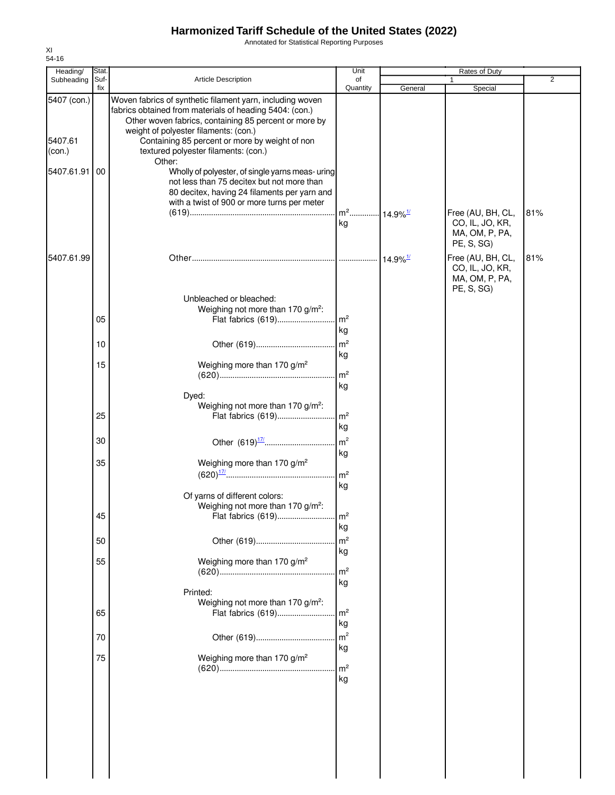Annotated for Statistical Reporting Purposes

| Heading/                                       | Stat.       |                                                                                                                                                                                                                                                                                                                                                                                                                                                                                                                             | Unit                                     |                        | Rates of Duty                                                        |                |
|------------------------------------------------|-------------|-----------------------------------------------------------------------------------------------------------------------------------------------------------------------------------------------------------------------------------------------------------------------------------------------------------------------------------------------------------------------------------------------------------------------------------------------------------------------------------------------------------------------------|------------------------------------------|------------------------|----------------------------------------------------------------------|----------------|
| Subheading                                     | Suf-<br>fix | <b>Article Description</b>                                                                                                                                                                                                                                                                                                                                                                                                                                                                                                  | of<br>Quantity                           | General                | Special                                                              | $\overline{2}$ |
| 5407 (con.)<br>5407.61<br>(con.)<br>5407.61.91 | 00          | Woven fabrics of synthetic filament yarn, including woven<br>fabrics obtained from materials of heading 5404: (con.)<br>Other woven fabrics, containing 85 percent or more by<br>weight of polyester filaments: (con.)<br>Containing 85 percent or more by weight of non<br>textured polyester filaments: (con.)<br>Other:<br>Wholly of polyester, of single yarns meas- uring<br>not less than 75 decitex but not more than<br>80 decitex, having 24 filaments per yarn and<br>with a twist of 900 or more turns per meter |                                          |                        |                                                                      |                |
|                                                |             |                                                                                                                                                                                                                                                                                                                                                                                                                                                                                                                             | m <sup>2</sup> 14.9% <sup>1/</sup><br>kg |                        | Free (AU, BH, CL,<br>CO, IL, JO, KR,<br>MA, OM, P, PA,<br>PE, S, SG) | 81%            |
| 5407.61.99                                     |             |                                                                                                                                                                                                                                                                                                                                                                                                                                                                                                                             |                                          | $14.9\%$ <sup>1/</sup> | Free (AU, BH, CL,<br>CO, IL, JO, KR,<br>MA, OM, P, PA,<br>PE, S, SG) | 81%            |
|                                                | 05          | Unbleached or bleached:<br>Weighing not more than 170 g/m <sup>2</sup> :<br>Flat fabrics (619)                                                                                                                                                                                                                                                                                                                                                                                                                              | . $\mathsf{Im}^2$<br>kg                  |                        |                                                                      |                |
|                                                | 10          |                                                                                                                                                                                                                                                                                                                                                                                                                                                                                                                             | m <sup>2</sup>                           |                        |                                                                      |                |
|                                                | 15          | Weighing more than 170 g/m <sup>2</sup><br>Dyed:                                                                                                                                                                                                                                                                                                                                                                                                                                                                            | kg<br>m <sup>2</sup><br>kg               |                        |                                                                      |                |
|                                                | 25          | Weighing not more than 170 g/m <sup>2</sup> :<br>Flat fabrics (619)                                                                                                                                                                                                                                                                                                                                                                                                                                                         | $\mathsf{Im}^2$<br>kg                    |                        |                                                                      |                |
|                                                | 30          |                                                                                                                                                                                                                                                                                                                                                                                                                                                                                                                             | m <sup>2</sup>                           |                        |                                                                      |                |
|                                                | 35          | Weighing more than 170 g/m <sup>2</sup><br>Of yarns of different colors:                                                                                                                                                                                                                                                                                                                                                                                                                                                    | kg<br>$\mathsf{Im}^2$<br>kg              |                        |                                                                      |                |
|                                                | 45          | Weighing not more than 170 g/m <sup>2</sup> :<br>Flat fabrics (619)                                                                                                                                                                                                                                                                                                                                                                                                                                                         | m <sup>2</sup><br>kg                     |                        |                                                                      |                |
|                                                | 50          |                                                                                                                                                                                                                                                                                                                                                                                                                                                                                                                             | m <sup>2</sup>                           |                        |                                                                      |                |
|                                                | 55          | Weighing more than 170 g/m <sup>2</sup>                                                                                                                                                                                                                                                                                                                                                                                                                                                                                     | kg<br>m <sup>2</sup><br>kg               |                        |                                                                      |                |
|                                                | 65          | Printed:<br>Weighing not more than 170 g/m <sup>2</sup> :<br>Flat fabrics (619)                                                                                                                                                                                                                                                                                                                                                                                                                                             | m <sup>2</sup><br>kg                     |                        |                                                                      |                |
|                                                | 70          |                                                                                                                                                                                                                                                                                                                                                                                                                                                                                                                             | m <sup>2</sup>                           |                        |                                                                      |                |
|                                                | 75          | Weighing more than 170 g/m <sup>2</sup>                                                                                                                                                                                                                                                                                                                                                                                                                                                                                     | kg<br>m <sup>2</sup><br>kg               |                        |                                                                      |                |
|                                                |             |                                                                                                                                                                                                                                                                                                                                                                                                                                                                                                                             |                                          |                        |                                                                      |                |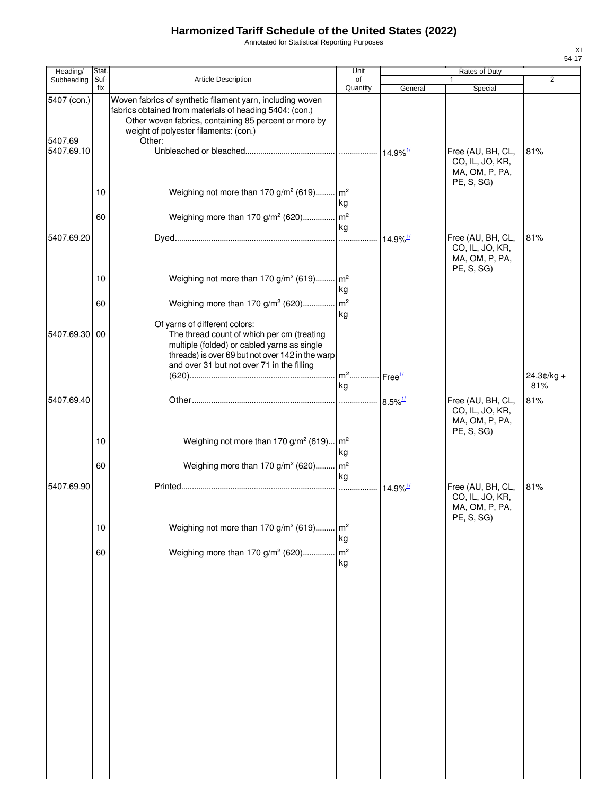Annotated for Statistical Reporting Purposes

| Heading/              | Stat.       |                                                                                                                                                                                                                        | Unit                              |                        | Rates of Duty                                                        |                |
|-----------------------|-------------|------------------------------------------------------------------------------------------------------------------------------------------------------------------------------------------------------------------------|-----------------------------------|------------------------|----------------------------------------------------------------------|----------------|
| Subheading            | Suf-<br>fix | <b>Article Description</b>                                                                                                                                                                                             | of                                |                        | 1                                                                    | $\overline{2}$ |
| 5407 (con.)           |             | Woven fabrics of synthetic filament yarn, including woven<br>fabrics obtained from materials of heading 5404: (con.)<br>Other woven fabrics, containing 85 percent or more by<br>weight of polyester filaments: (con.) | Quantity                          | General                | Special                                                              |                |
| 5407.69<br>5407.69.10 |             | Other:                                                                                                                                                                                                                 |                                   |                        | Free (AU, BH, CL,<br>CO, IL, JO, KR,<br>MA, OM, P, PA,<br>PE, S, SG) | 81%            |
|                       | 10          | Weighing not more than 170 g/m <sup>2</sup> (619) m <sup>2</sup>                                                                                                                                                       | kg                                |                        |                                                                      |                |
|                       | 60          | Weighing more than 170 g/m <sup>2</sup> (620) m <sup>2</sup>                                                                                                                                                           | kg                                |                        |                                                                      |                |
| 5407.69.20            |             |                                                                                                                                                                                                                        |                                   |                        | Free (AU, BH, CL,<br>CO, IL, JO, KR,<br>MA, OM, P, PA,<br>PE, S, SG) | 81%            |
|                       | 10          | Weighing not more than 170 g/m <sup>2</sup> (619) m <sup>2</sup>                                                                                                                                                       | kg                                |                        |                                                                      |                |
|                       | 60          | Weighing more than 170 g/m <sup>2</sup> (620) m <sup>2</sup><br>Of yarns of different colors:                                                                                                                          | kg                                |                        |                                                                      |                |
| 5407.69.30 00         |             | The thread count of which per cm (treating<br>multiple (folded) or cabled yarns as single<br>threads) is over 69 but not over 142 in the warp<br>and over 31 but not over 71 in the filling                            | m <sup>2</sup> Free <sup>1/</sup> |                        |                                                                      | 24.3¢/kg +     |
|                       |             |                                                                                                                                                                                                                        | kg                                |                        |                                                                      | 81%            |
| 5407.69.40            |             |                                                                                                                                                                                                                        |                                   |                        | Free (AU, BH, CL,<br>CO, IL, JO, KR,<br>MA, OM, P, PA,<br>PE, S, SG) | 81%            |
|                       | 10          | Weighing not more than 170 g/m <sup>2</sup> (619) m <sup>2</sup>                                                                                                                                                       | kg                                |                        |                                                                      |                |
|                       | 60          | Weighing more than 170 g/m <sup>2</sup> (620) m <sup>2</sup>                                                                                                                                                           | kg                                |                        |                                                                      |                |
| 5407.69.90            |             |                                                                                                                                                                                                                        |                                   | $14.9\%$ <sup>1/</sup> | Free (AU, BH, CL,<br>CO, IL, JO, KR,<br>MA, OM, P, PA,<br>PE, S, SG) | 81%            |
|                       | $10$        | Weighing not more than 170 g/m <sup>2</sup> (619)                                                                                                                                                                      | $\mathsf{m}^2$<br>kg              |                        |                                                                      |                |
|                       | 60          | Weighing more than 170 g/m <sup>2</sup> (620)                                                                                                                                                                          | m <sup>2</sup><br>kg              |                        |                                                                      |                |
|                       |             |                                                                                                                                                                                                                        |                                   |                        |                                                                      |                |
|                       |             |                                                                                                                                                                                                                        |                                   |                        |                                                                      |                |
|                       |             |                                                                                                                                                                                                                        |                                   |                        |                                                                      |                |
|                       |             |                                                                                                                                                                                                                        |                                   |                        |                                                                      |                |
|                       |             |                                                                                                                                                                                                                        |                                   |                        |                                                                      |                |
|                       |             |                                                                                                                                                                                                                        |                                   |                        |                                                                      |                |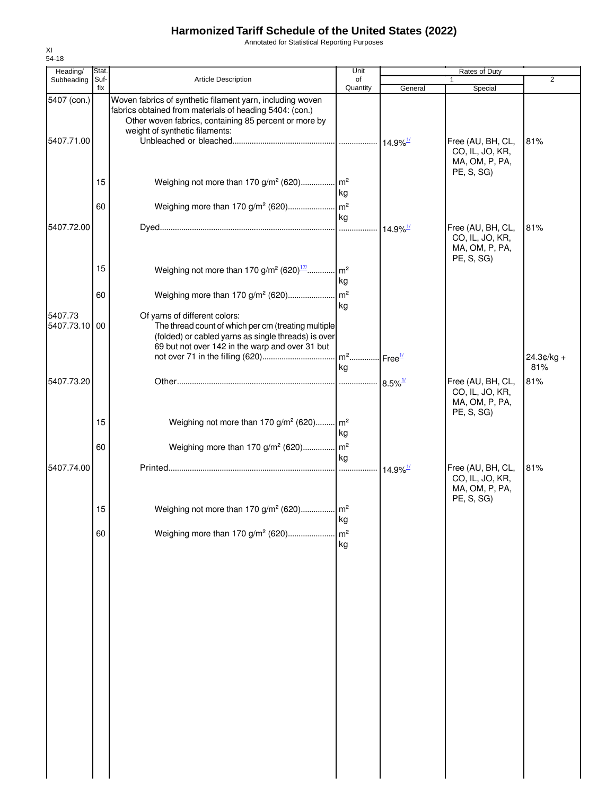Annotated for Statistical Reporting Purposes

| Heading/                  | Stat.       |                                                                                                                                                                                                                 | Unit                                    |                             | Rates of Duty                                                        |                     |
|---------------------------|-------------|-----------------------------------------------------------------------------------------------------------------------------------------------------------------------------------------------------------------|-----------------------------------------|-----------------------------|----------------------------------------------------------------------|---------------------|
| Subheading                | Suf-<br>fix | <b>Article Description</b>                                                                                                                                                                                      | of                                      |                             |                                                                      | $\overline{2}$      |
| 5407 (con.)<br>5407.71.00 |             | Woven fabrics of synthetic filament yarn, including woven<br>fabrics obtained from materials of heading 5404: (con.)<br>Other woven fabrics, containing 85 percent or more by<br>weight of synthetic filaments: | Quantity                                | General                     | Special<br>Free (AU, BH, CL,                                         | 81%                 |
|                           | 15          | Weighing not more than 170 g/m <sup>2</sup> (620) m <sup>2</sup>                                                                                                                                                |                                         |                             | CO, IL, JO, KR,<br>MA, OM, P, PA,<br>PE, S, SG)                      |                     |
|                           | 60          |                                                                                                                                                                                                                 | kg                                      |                             |                                                                      |                     |
| 5407.72.00                |             |                                                                                                                                                                                                                 | kg                                      | $\cdot$ 14.9% $\frac{1}{2}$ | Free (AU, BH, CL,                                                    | 81%                 |
|                           |             |                                                                                                                                                                                                                 |                                         |                             | CO, IL, JO, KR,<br>MA, OM, P, PA,<br>PE, S, SG)                      |                     |
|                           | 15          | Weighing not more than 170 g/m <sup>2</sup> (620) <sup>17/</sup> m <sup>2</sup>                                                                                                                                 | kg                                      |                             |                                                                      |                     |
|                           | 60          | Weighing more than 170 g/m <sup>2</sup> (620)                                                                                                                                                                   | $\mathsf{Im}^2$<br>kg                   |                             |                                                                      |                     |
| 5407.73<br>5407.73.10     | 00          | Of yarns of different colors:<br>The thread count of which per cm (treating multiple<br>(folded) or cabled yarns as single threads) is over<br>69 but not over 142 in the warp and over 31 but                  |                                         |                             |                                                                      |                     |
|                           |             |                                                                                                                                                                                                                 | m <sup>2</sup> Free <sup>1/</sup><br>kg |                             |                                                                      | $24.3¢/kg +$<br>81% |
| 5407.73.20                |             |                                                                                                                                                                                                                 |                                         |                             | Free (AU, BH, CL,<br>CO, IL, JO, KR,<br>MA, OM, P, PA,<br>PE, S, SG) | 81%                 |
|                           | 15          | Weighing not more than 170 g/m <sup>2</sup> (620) m <sup>2</sup>                                                                                                                                                | kg                                      |                             |                                                                      |                     |
|                           | 60          | Weighing more than 170 g/m <sup>2</sup> (620) m <sup>2</sup>                                                                                                                                                    | kg                                      |                             |                                                                      |                     |
| 5407.74.00                |             |                                                                                                                                                                                                                 |                                         |                             | Free (AU, BH, CL,<br>CO, IL, JO, KR,<br>MA, OM, P, PA,<br>PE, S, SG) | 81%                 |
|                           | 15          | Weighing not more than 170 $g/m^2$ (620) $m^2$                                                                                                                                                                  | kg                                      |                             |                                                                      |                     |
|                           | 60          | Weighing more than 170 g/m <sup>2</sup> (620)                                                                                                                                                                   | m <sup>2</sup><br>kg                    |                             |                                                                      |                     |
|                           |             |                                                                                                                                                                                                                 |                                         |                             |                                                                      |                     |
|                           |             |                                                                                                                                                                                                                 |                                         |                             |                                                                      |                     |
|                           |             |                                                                                                                                                                                                                 |                                         |                             |                                                                      |                     |
|                           |             |                                                                                                                                                                                                                 |                                         |                             |                                                                      |                     |
|                           |             |                                                                                                                                                                                                                 |                                         |                             |                                                                      |                     |
|                           |             |                                                                                                                                                                                                                 |                                         |                             |                                                                      |                     |
|                           |             |                                                                                                                                                                                                                 |                                         |                             |                                                                      |                     |
|                           |             |                                                                                                                                                                                                                 |                                         |                             |                                                                      |                     |
|                           |             |                                                                                                                                                                                                                 |                                         |                             |                                                                      |                     |
|                           |             |                                                                                                                                                                                                                 |                                         |                             |                                                                      |                     |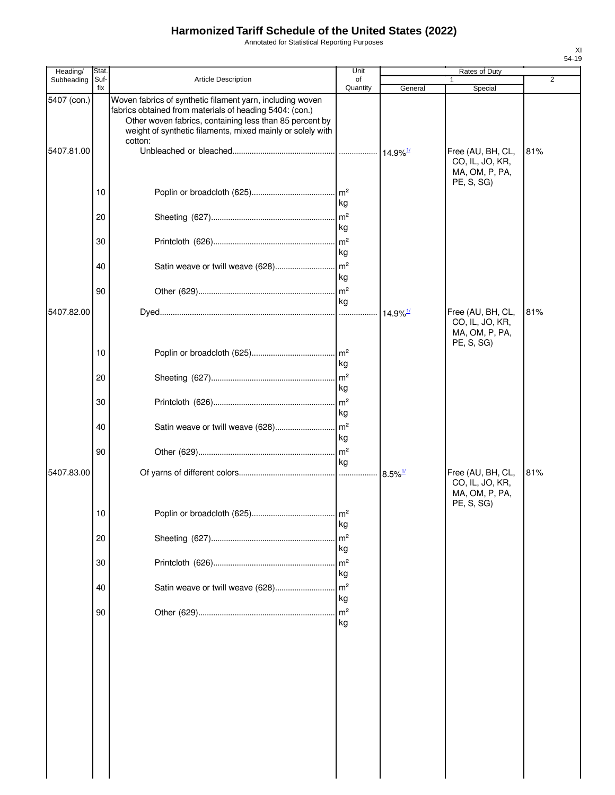Annotated for Statistical Reporting Purposes

| Heading/    | Stat        |                                                                                                                                                                                                                                                          | Unit                                   |                        | Rates of Duty                                                        |     |
|-------------|-------------|----------------------------------------------------------------------------------------------------------------------------------------------------------------------------------------------------------------------------------------------------------|----------------------------------------|------------------------|----------------------------------------------------------------------|-----|
| Subheading  | Suf-<br>fix | Article Description                                                                                                                                                                                                                                      | of<br>Quantity                         | General                | Special                                                              | 2   |
| 5407 (con.) |             | Woven fabrics of synthetic filament yarn, including woven<br>fabrics obtained from materials of heading 5404: (con.)<br>Other woven fabrics, containing less than 85 percent by<br>weight of synthetic filaments, mixed mainly or solely with<br>cotton: |                                        |                        |                                                                      |     |
| 5407.81.00  |             |                                                                                                                                                                                                                                                          |                                        |                        | Free (AU, BH, CL,<br>CO, IL, JO, KR,<br>MA, OM, P, PA,               | 81% |
|             | 10          |                                                                                                                                                                                                                                                          | kg                                     |                        | PE, S, SG)                                                           |     |
|             | 20          |                                                                                                                                                                                                                                                          | m <sup>2</sup><br>kg                   |                        |                                                                      |     |
|             | 30          |                                                                                                                                                                                                                                                          | m <sup>2</sup><br>kg                   |                        |                                                                      |     |
|             | 40          | Satin weave or twill weave (628)                                                                                                                                                                                                                         | m <sup>2</sup><br>kg                   |                        |                                                                      |     |
|             | 90          |                                                                                                                                                                                                                                                          | $\mathsf{Im}^2$<br>kg                  |                        |                                                                      |     |
| 5407.82.00  |             |                                                                                                                                                                                                                                                          |                                        | $14.9\%$ <sup>1/</sup> | Free (AU, BH, CL,<br>CO, IL, JO, KR,<br>MA, OM, P, PA,<br>PE, S, SG) | 81% |
|             | 10          |                                                                                                                                                                                                                                                          | $\mathsf{Im}^2$<br>kg                  |                        |                                                                      |     |
|             | 20          |                                                                                                                                                                                                                                                          | m <sup>2</sup><br>kg                   |                        |                                                                      |     |
|             | 30          |                                                                                                                                                                                                                                                          | m <sup>2</sup><br>kg                   |                        |                                                                      |     |
|             | 40          |                                                                                                                                                                                                                                                          | kg                                     |                        |                                                                      |     |
| 5407.83.00  | 90          |                                                                                                                                                                                                                                                          | kg                                     | $8.5\%$ <sup>1/</sup>  | Free (AU, BH, CL,                                                    | 81% |
|             |             |                                                                                                                                                                                                                                                          |                                        |                        | CO, IL, JO, KR,<br>MA, OM, P, PA,<br>PE, S, SG)                      |     |
|             | 10          |                                                                                                                                                                                                                                                          | m <sup>2</sup><br>kg                   |                        |                                                                      |     |
|             | 20          |                                                                                                                                                                                                                                                          | m <sup>2</sup><br>kg                   |                        |                                                                      |     |
|             | 30          |                                                                                                                                                                                                                                                          | m <sup>2</sup><br>kg                   |                        |                                                                      |     |
|             | 40          | Satin weave or twill weave (628)                                                                                                                                                                                                                         | m <sup>2</sup><br>kg<br>m <sup>2</sup> |                        |                                                                      |     |
|             | 90          |                                                                                                                                                                                                                                                          | kg                                     |                        |                                                                      |     |
|             |             |                                                                                                                                                                                                                                                          |                                        |                        |                                                                      |     |
|             |             |                                                                                                                                                                                                                                                          |                                        |                        |                                                                      |     |
|             |             |                                                                                                                                                                                                                                                          |                                        |                        |                                                                      |     |
|             |             |                                                                                                                                                                                                                                                          |                                        |                        |                                                                      |     |
|             |             |                                                                                                                                                                                                                                                          |                                        |                        |                                                                      |     |
|             |             |                                                                                                                                                                                                                                                          |                                        |                        |                                                                      |     |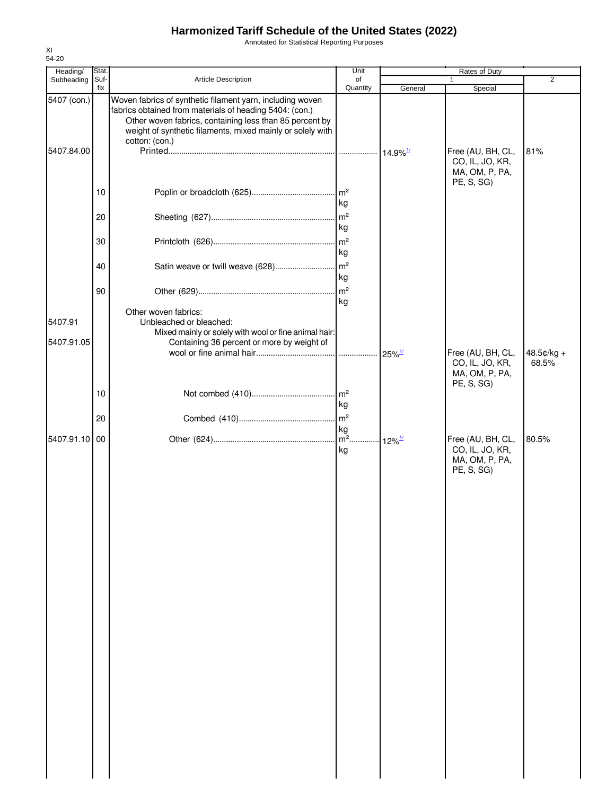Annotated for Statistical Reporting Purposes

| Heading/    | Stat. |                                                                                                                                                                                                                                               | Unit                     |                        | Rates of Duty                                          |                |
|-------------|-------|-----------------------------------------------------------------------------------------------------------------------------------------------------------------------------------------------------------------------------------------------|--------------------------|------------------------|--------------------------------------------------------|----------------|
| Subheading  | Suf-  | Article Description                                                                                                                                                                                                                           | of                       |                        | 1                                                      | $\overline{2}$ |
| 5407 (con.) | fix   | Woven fabrics of synthetic filament yarn, including woven<br>fabrics obtained from materials of heading 5404: (con.)<br>Other woven fabrics, containing less than 85 percent by<br>weight of synthetic filaments, mixed mainly or solely with | Quantity                 | General                | Special                                                |                |
| 5407.84.00  |       | cotton: (con.)                                                                                                                                                                                                                                |                          | $14.9\%$ <sup>1/</sup> | Free (AU, BH, CL,<br>CO, IL, JO, KR,<br>MA, OM, P, PA, | 81%            |
|             | 10    |                                                                                                                                                                                                                                               | kg                       |                        | PE, S, SG)                                             |                |
|             | 20    |                                                                                                                                                                                                                                               | m <sup>2</sup><br>kg     |                        |                                                        |                |
|             | 30    |                                                                                                                                                                                                                                               | m <sup>2</sup><br>kg     |                        |                                                        |                |
|             | 40    | Satin weave or twill weave (628)                                                                                                                                                                                                              | m <sup>2</sup><br>kg     |                        |                                                        |                |
|             | 90    |                                                                                                                                                                                                                                               | m <sup>2</sup><br>kg     |                        |                                                        |                |
| 5407.91     |       | Other woven fabrics:<br>Unbleached or bleached:<br>Mixed mainly or solely with wool or fine animal hair:                                                                                                                                      |                          |                        |                                                        |                |
| 5407.91.05  |       | Containing 36 percent or more by weight of                                                                                                                                                                                                    |                          | $25\%$ <sup>1/</sup>   | Free (AU, BH, CL,                                      | 48.5¢/kg +     |
|             | 10    |                                                                                                                                                                                                                                               |                          |                        | CO, IL, JO, KR,<br>MA, OM, P, PA,<br>PE, S, SG)        | 68.5%          |
|             | 20    |                                                                                                                                                                                                                                               | kg<br>$\mathsf{m}^2$     |                        |                                                        |                |
| 5407.91.10  | 00    |                                                                                                                                                                                                                                               | kg<br>$\overline{m^2}$ . | $12\%$ <sup>1/</sup>   | Free (AU, BH, CL,                                      | 80.5%          |
|             |       |                                                                                                                                                                                                                                               | kg                       |                        | CO, IL, JO, KR,<br>MA, OM, P, PA,<br>PE, S, SG)        |                |
|             |       |                                                                                                                                                                                                                                               |                          |                        |                                                        |                |
|             |       |                                                                                                                                                                                                                                               |                          |                        |                                                        |                |
|             |       |                                                                                                                                                                                                                                               |                          |                        |                                                        |                |
|             |       |                                                                                                                                                                                                                                               |                          |                        |                                                        |                |
|             |       |                                                                                                                                                                                                                                               |                          |                        |                                                        |                |
|             |       |                                                                                                                                                                                                                                               |                          |                        |                                                        |                |
|             |       |                                                                                                                                                                                                                                               |                          |                        |                                                        |                |
|             |       |                                                                                                                                                                                                                                               |                          |                        |                                                        |                |
|             |       |                                                                                                                                                                                                                                               |                          |                        |                                                        |                |
|             |       |                                                                                                                                                                                                                                               |                          |                        |                                                        |                |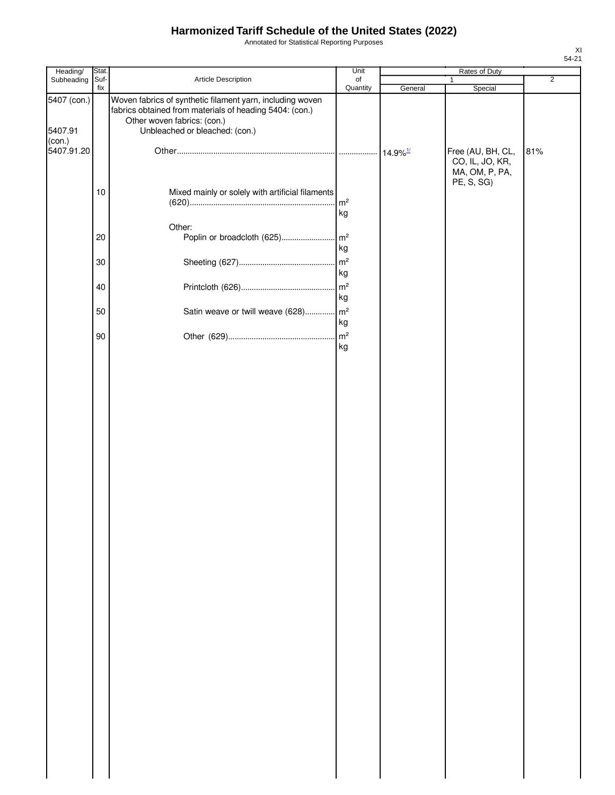Annotated for Statistical Reporting Purposes

| Heading/                         | Stat.  |                                                                                                                                                                                       | Unit     |         | Rates of Duty                                          |                |
|----------------------------------|--------|---------------------------------------------------------------------------------------------------------------------------------------------------------------------------------------|----------|---------|--------------------------------------------------------|----------------|
| Subheading                       | Suf-   | Article Description                                                                                                                                                                   | of       |         | 1                                                      | $\overline{2}$ |
| 5407 (con.)<br>5407.91<br>(con.) | fix    | Woven fabrics of synthetic filament yarn, including woven<br>fabrics obtained from materials of heading 5404: (con.)<br>Other woven fabrics: (con.)<br>Unbleached or bleached: (con.) | Quantity | General | Special                                                |                |
| 5407.91.20                       |        |                                                                                                                                                                                       |          |         | Free (AU, BH, CL,<br>CO, IL, JO, KR,<br>MA, OM, P, PA, | 81%            |
|                                  | 10     | Mixed mainly or solely with artificial filaments                                                                                                                                      | kg       |         | PE, S, SG)                                             |                |
|                                  | 20     | Other:                                                                                                                                                                                | kg       |         |                                                        |                |
|                                  | 30     |                                                                                                                                                                                       | kg       |         |                                                        |                |
|                                  | 40     |                                                                                                                                                                                       | kg       |         |                                                        |                |
|                                  | 50     | Satin weave or twill weave (628) m <sup>2</sup>                                                                                                                                       | kg       |         |                                                        |                |
|                                  | $90\,$ |                                                                                                                                                                                       | kg       |         |                                                        |                |
|                                  |        |                                                                                                                                                                                       |          |         |                                                        |                |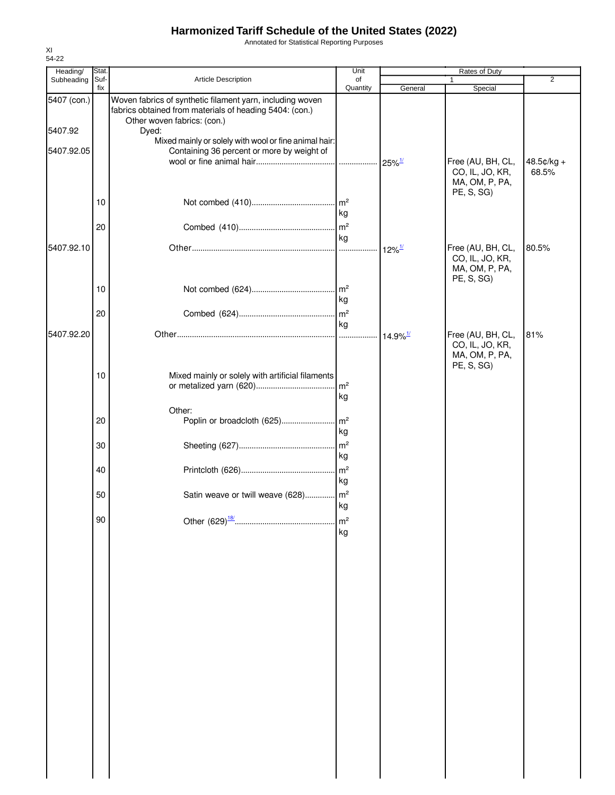Annotated for Statistical Reporting Purposes

| Heading/    | Stat.       |                                                                                                                                                     | Unit                 |                        | Rates of Duty                                                        |                |
|-------------|-------------|-----------------------------------------------------------------------------------------------------------------------------------------------------|----------------------|------------------------|----------------------------------------------------------------------|----------------|
| Subheading  | Suf-<br>fix | Article Description                                                                                                                                 | of<br>Quantity       | General                | $\mathbf{1}$<br>Special                                              | $\overline{2}$ |
| 5407 (con.) |             | Woven fabrics of synthetic filament yarn, including woven<br>fabrics obtained from materials of heading 5404: (con.)<br>Other woven fabrics: (con.) |                      |                        |                                                                      |                |
| 5407.92     |             | Dyed:<br>Mixed mainly or solely with wool or fine animal hair:                                                                                      |                      |                        |                                                                      |                |
| 5407.92.05  |             | Containing 36 percent or more by weight of                                                                                                          |                      |                        | Free (AU, BH, CL,                                                    | 48.5¢/kg +     |
|             | 10          |                                                                                                                                                     |                      |                        | CO, IL, JO, KR,<br>MA, OM, P, PA,<br>PE, S, SG)                      | 68.5%          |
|             | 20          |                                                                                                                                                     | kg                   |                        |                                                                      |                |
| 5407.92.10  |             |                                                                                                                                                     | kg                   |                        | Free (AU, BH, CL,                                                    | 80.5%          |
|             |             |                                                                                                                                                     |                      | $12\%$ <sup>1/</sup>   | CO, IL, JO, KR,<br>MA, OM, P, PA,<br>PE, S, SG)                      |                |
|             | 10          |                                                                                                                                                     | kg                   |                        |                                                                      |                |
|             | 20          |                                                                                                                                                     |                      |                        |                                                                      |                |
| 5407.92.20  |             |                                                                                                                                                     | kg                   | $14.9\%$ <sup>1/</sup> | Free (AU, BH, CL,<br>CO, IL, JO, KR,<br>MA, OM, P, PA,<br>PE, S, SG) | 81%            |
|             | 10          | Mixed mainly or solely with artificial filaments                                                                                                    | kg                   |                        |                                                                      |                |
|             | 20          | Other:                                                                                                                                              | kg                   |                        |                                                                      |                |
|             | 30          |                                                                                                                                                     | kg                   |                        |                                                                      |                |
|             | 40          |                                                                                                                                                     | kg                   |                        |                                                                      |                |
|             | 50          | Satin weave or twill weave (628) m <sup>2</sup>                                                                                                     | kg                   |                        |                                                                      |                |
|             | 90          |                                                                                                                                                     | m <sup>2</sup><br>kg |                        |                                                                      |                |
|             |             |                                                                                                                                                     |                      |                        |                                                                      |                |
|             |             |                                                                                                                                                     |                      |                        |                                                                      |                |
|             |             |                                                                                                                                                     |                      |                        |                                                                      |                |
|             |             |                                                                                                                                                     |                      |                        |                                                                      |                |
|             |             |                                                                                                                                                     |                      |                        |                                                                      |                |
|             |             |                                                                                                                                                     |                      |                        |                                                                      |                |
|             |             |                                                                                                                                                     |                      |                        |                                                                      |                |
|             |             |                                                                                                                                                     |                      |                        |                                                                      |                |
|             |             |                                                                                                                                                     |                      |                        |                                                                      |                |
|             |             |                                                                                                                                                     |                      |                        |                                                                      |                |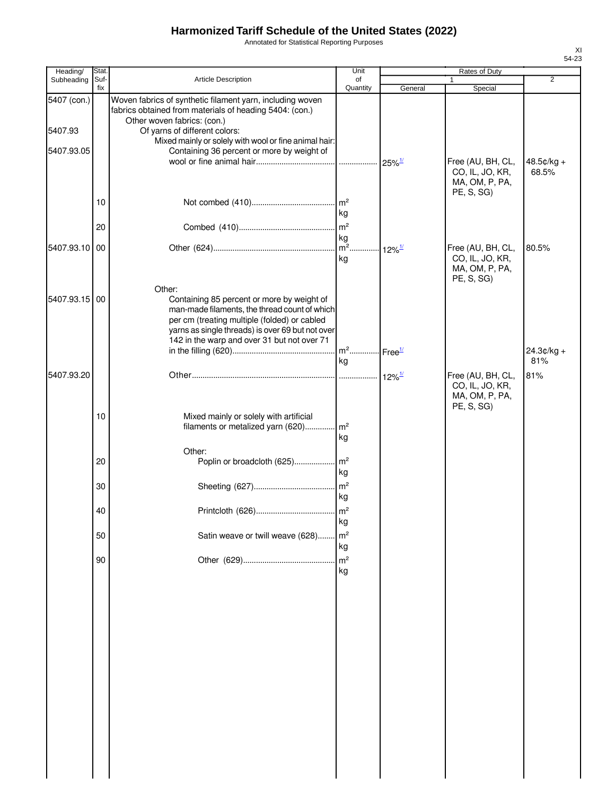Annotated for Statistical Reporting Purposes

| Heading/      | Stat.       |                                                                                                                                                                                                                                                          | Unit                 |                      | Rates of Duty                                                        |                     |
|---------------|-------------|----------------------------------------------------------------------------------------------------------------------------------------------------------------------------------------------------------------------------------------------------------|----------------------|----------------------|----------------------------------------------------------------------|---------------------|
| Subheading    | Suf-<br>fix | <b>Article Description</b>                                                                                                                                                                                                                               | of<br>Quantity       | General              | $\mathbf{1}$<br>Special                                              | 2                   |
| 5407 (con.)   |             | Woven fabrics of synthetic filament yarn, including woven<br>fabrics obtained from materials of heading 5404: (con.)<br>Other woven fabrics: (con.)                                                                                                      |                      |                      |                                                                      |                     |
| 5407.93       |             | Of yarns of different colors:<br>Mixed mainly or solely with wool or fine animal hair:                                                                                                                                                                   |                      |                      |                                                                      |                     |
| 5407.93.05    |             | Containing 36 percent or more by weight of                                                                                                                                                                                                               |                      | $25\%$ <sup>1/</sup> | Free (AU, BH, CL,<br>CO, IL, JO, KR,<br>MA, OM, P, PA,<br>PE, S, SG) | 48.5¢/kg +<br>68.5% |
|               | 10          |                                                                                                                                                                                                                                                          | kg                   |                      |                                                                      |                     |
|               | 20          |                                                                                                                                                                                                                                                          | kg                   |                      |                                                                      |                     |
| 5407.93.10 00 |             |                                                                                                                                                                                                                                                          | kg                   | $12\%$ <sup>1/</sup> | Free (AU, BH, CL,<br>CO, IL, JO, KR,<br>MA, OM, P, PA,<br>PE, S, SG) | 80.5%               |
| 5407.93.15 00 |             | Other:<br>Containing 85 percent or more by weight of<br>man-made filaments, the thread count of which<br>per cm (treating multiple (folded) or cabled<br>yarns as single threads) is over 69 but not over<br>142 in the warp and over 31 but not over 71 |                      |                      |                                                                      |                     |
|               |             |                                                                                                                                                                                                                                                          | kg                   |                      |                                                                      | $24.3¢/kg +$<br>81% |
| 5407.93.20    |             |                                                                                                                                                                                                                                                          |                      | $12\%$ <sup>1/</sup> | Free (AU, BH, CL,<br>CO, IL, JO, KR,<br>MA, OM, P, PA,<br>PE, S, SG) | 81%                 |
|               | 10          | Mixed mainly or solely with artificial<br>filaments or metalized yarn (620)                                                                                                                                                                              | m <sup>2</sup><br>kg |                      |                                                                      |                     |
|               | 20          | Other:                                                                                                                                                                                                                                                   | kg                   |                      |                                                                      |                     |
|               | 30          |                                                                                                                                                                                                                                                          | kg                   |                      |                                                                      |                     |
|               | 40          |                                                                                                                                                                                                                                                          | kg                   |                      |                                                                      |                     |
|               | 50          | Satin weave or twill weave (628)                                                                                                                                                                                                                         | m <sup>2</sup><br>kg |                      |                                                                      |                     |
|               | 90          |                                                                                                                                                                                                                                                          | m <sup>2</sup><br>kg |                      |                                                                      |                     |
|               |             |                                                                                                                                                                                                                                                          |                      |                      |                                                                      |                     |
|               |             |                                                                                                                                                                                                                                                          |                      |                      |                                                                      |                     |
|               |             |                                                                                                                                                                                                                                                          |                      |                      |                                                                      |                     |
|               |             |                                                                                                                                                                                                                                                          |                      |                      |                                                                      |                     |
|               |             |                                                                                                                                                                                                                                                          |                      |                      |                                                                      |                     |
|               |             |                                                                                                                                                                                                                                                          |                      |                      |                                                                      |                     |
|               |             |                                                                                                                                                                                                                                                          |                      |                      |                                                                      |                     |
|               |             |                                                                                                                                                                                                                                                          |                      |                      |                                                                      |                     |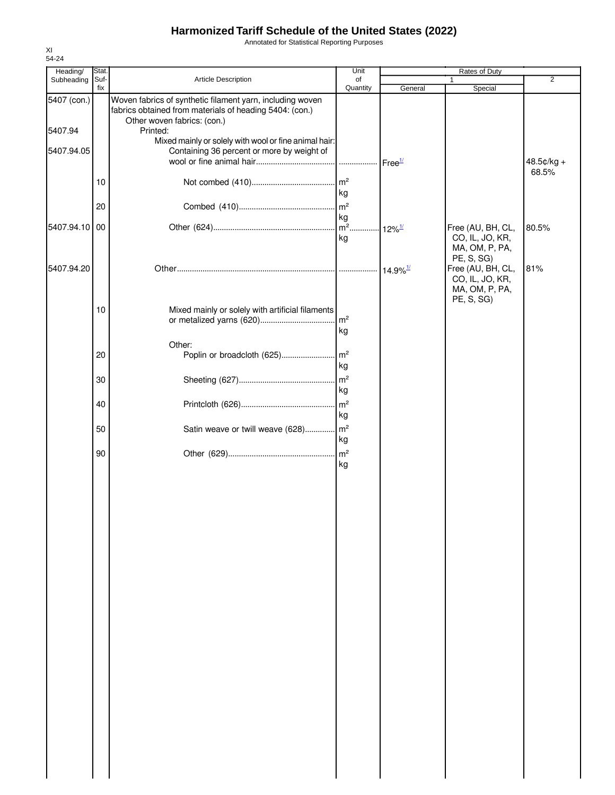Annotated for Statistical Reporting Purposes

| Heading/      | Stat. |                                                                                                                      | Unit                 | Rates of Duty          |                                      |                |
|---------------|-------|----------------------------------------------------------------------------------------------------------------------|----------------------|------------------------|--------------------------------------|----------------|
| Subheading    | Suf-  | Article Description                                                                                                  | of                   |                        | 1                                    | $\overline{2}$ |
| 5407 (con.)   | fix   | Woven fabrics of synthetic filament yarn, including woven<br>fabrics obtained from materials of heading 5404: (con.) | Quantity             | General                | Special                              |                |
| 5407.94       |       | Other woven fabrics: (con.)<br>Printed:                                                                              |                      |                        |                                      |                |
|               |       | Mixed mainly or solely with wool or fine animal hair:                                                                |                      |                        |                                      |                |
| 5407.94.05    |       | Containing 36 percent or more by weight of                                                                           |                      |                        |                                      | 48.5¢/kg +     |
|               | 10    |                                                                                                                      | m <sup>2</sup>       |                        |                                      | 68.5%          |
|               |       |                                                                                                                      | kg                   |                        |                                      |                |
|               | 20    |                                                                                                                      | m <sup>2</sup><br>kg |                        |                                      |                |
| 5407.94.10 00 |       |                                                                                                                      | kg                   |                        | Free (AU, BH, CL,<br>CO, IL, JO, KR, | 80.5%          |
|               |       |                                                                                                                      |                      |                        | MA, OM, P, PA,                       |                |
| 5407.94.20    |       |                                                                                                                      |                      | $14.9\%$ <sup>1/</sup> | PE, S, SG)<br>Free (AU, BH, CL,      | 81%            |
|               |       |                                                                                                                      |                      |                        | CO, IL, JO, KR,<br>MA, OM, P, PA,    |                |
|               | 10    | Mixed mainly or solely with artificial filaments                                                                     |                      |                        | PE, S, SG)                           |                |
|               |       |                                                                                                                      | m <sup>2</sup>       |                        |                                      |                |
|               |       | Other:                                                                                                               | kg                   |                        |                                      |                |
|               | 20    |                                                                                                                      |                      |                        |                                      |                |
|               | 30    |                                                                                                                      | kg<br>m <sup>2</sup> |                        |                                      |                |
|               |       |                                                                                                                      | kg                   |                        |                                      |                |
|               | 40    |                                                                                                                      | m <sup>2</sup><br>kg |                        |                                      |                |
|               | 50    | Satin weave or twill weave (628)                                                                                     | m <sup>2</sup>       |                        |                                      |                |
|               |       |                                                                                                                      | kg                   |                        |                                      |                |
|               | 90    |                                                                                                                      | m <sup>2</sup><br>kg |                        |                                      |                |
|               |       |                                                                                                                      |                      |                        |                                      |                |
|               |       |                                                                                                                      |                      |                        |                                      |                |
|               |       |                                                                                                                      |                      |                        |                                      |                |
|               |       |                                                                                                                      |                      |                        |                                      |                |
|               |       |                                                                                                                      |                      |                        |                                      |                |
|               |       |                                                                                                                      |                      |                        |                                      |                |
|               |       |                                                                                                                      |                      |                        |                                      |                |
|               |       |                                                                                                                      |                      |                        |                                      |                |
|               |       |                                                                                                                      |                      |                        |                                      |                |
|               |       |                                                                                                                      |                      |                        |                                      |                |
|               |       |                                                                                                                      |                      |                        |                                      |                |
|               |       |                                                                                                                      |                      |                        |                                      |                |
|               |       |                                                                                                                      |                      |                        |                                      |                |
|               |       |                                                                                                                      |                      |                        |                                      |                |
|               |       |                                                                                                                      |                      |                        |                                      |                |
|               |       |                                                                                                                      |                      |                        |                                      |                |
|               |       |                                                                                                                      |                      |                        |                                      |                |
|               |       |                                                                                                                      |                      |                        |                                      |                |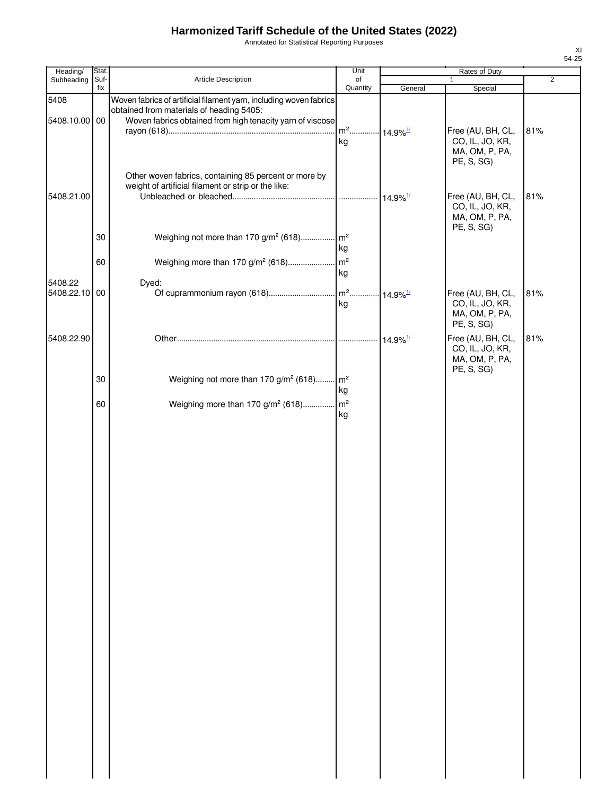Annotated for Statistical Reporting Purposes

| Heading/                 | Stat.       |                                                                                                                                                                             | Unit                                     |         | Rates of Duty                                                        |                |
|--------------------------|-------------|-----------------------------------------------------------------------------------------------------------------------------------------------------------------------------|------------------------------------------|---------|----------------------------------------------------------------------|----------------|
| Subheading               | Suf-<br>fix | Article Description                                                                                                                                                         | of<br>Quantity                           | General | $\mathbf{1}$<br>Special                                              | $\overline{2}$ |
| 5408<br>5408.10.00 00    |             | Woven fabrics of artificial filament yarn, including woven fabrics<br>obtained from materials of heading 5405:<br>Woven fabrics obtained from high tenacity yarn of viscose |                                          |         |                                                                      |                |
|                          |             | Other woven fabrics, containing 85 percent or more by                                                                                                                       | m <sup>2</sup> 14.9% <sup>1/</sup><br>kg |         | Free (AU, BH, CL,<br>CO, IL, JO, KR,<br>MA, OM, P, PA,<br>PE, S, SG) | 81%            |
| 5408.21.00               |             | weight of artificial filament or strip or the like:                                                                                                                         |                                          |         | Free (AU, BH, CL,<br>CO, IL, JO, KR,<br>MA, OM, P, PA,<br>PE, S, SG) | 81%            |
|                          | 30          | Weighing not more than 170 g/m <sup>2</sup> (618) m <sup>2</sup>                                                                                                            | kg                                       |         |                                                                      |                |
|                          | 60          |                                                                                                                                                                             | kg                                       |         |                                                                      |                |
| 5408.22<br>5408.22.10 00 |             | Dyed:                                                                                                                                                                       | kg                                       |         | Free (AU, BH, CL,<br>CO, IL, JO, KR,<br>MA, OM, P, PA,<br>PE, S, SG) | 81%            |
| 5408.22.90               |             |                                                                                                                                                                             |                                          |         | Free (AU, BH, CL,<br>CO, IL, JO, KR,<br>MA, OM, P, PA,<br>PE, S, SG) | 81%            |
|                          | 30          | Weighing not more than 170 g/m <sup>2</sup> (618) m <sup>2</sup>                                                                                                            | kg                                       |         |                                                                      |                |
|                          | 60          | Weighing more than 170 g/m <sup>2</sup> (618) m <sup>2</sup>                                                                                                                | kg                                       |         |                                                                      |                |
|                          |             |                                                                                                                                                                             |                                          |         |                                                                      |                |
|                          |             |                                                                                                                                                                             |                                          |         |                                                                      |                |
|                          |             |                                                                                                                                                                             |                                          |         |                                                                      |                |
|                          |             |                                                                                                                                                                             |                                          |         |                                                                      |                |
|                          |             |                                                                                                                                                                             |                                          |         |                                                                      |                |
|                          |             |                                                                                                                                                                             |                                          |         |                                                                      |                |
|                          |             |                                                                                                                                                                             |                                          |         |                                                                      |                |
|                          |             |                                                                                                                                                                             |                                          |         |                                                                      |                |
|                          |             |                                                                                                                                                                             |                                          |         |                                                                      |                |
|                          |             |                                                                                                                                                                             |                                          |         |                                                                      |                |
|                          |             |                                                                                                                                                                             |                                          |         |                                                                      |                |
|                          |             |                                                                                                                                                                             |                                          |         |                                                                      |                |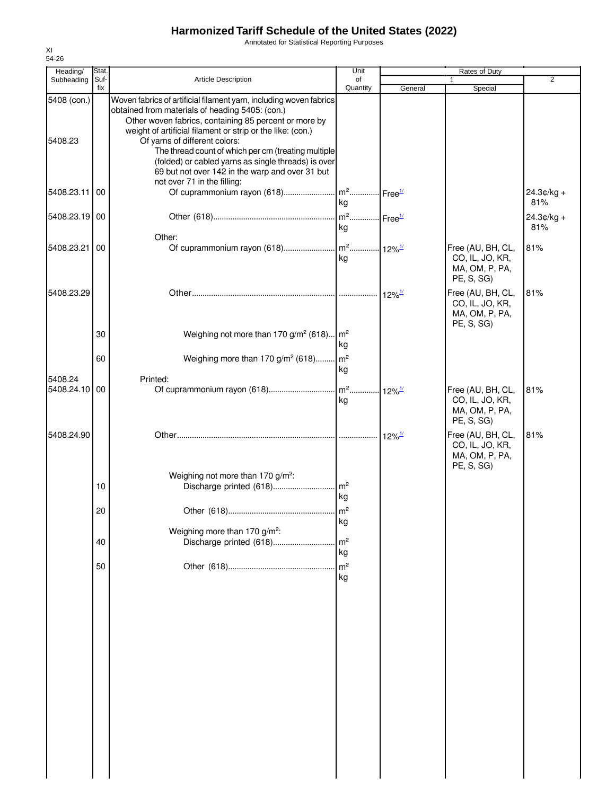Annotated for Statistical Reporting Purposes

| Heading/               | Stat.       |                                                                                                                                                                                                                                                                                                                                                                                             | Unit                                      |                      | Rates of Duty                                                        |                     |
|------------------------|-------------|---------------------------------------------------------------------------------------------------------------------------------------------------------------------------------------------------------------------------------------------------------------------------------------------------------------------------------------------------------------------------------------------|-------------------------------------------|----------------------|----------------------------------------------------------------------|---------------------|
| Subheading             | Suf-<br>fix | <b>Article Description</b>                                                                                                                                                                                                                                                                                                                                                                  | of<br>Quantity                            | General              | Special                                                              | $\overline{2}$      |
| 5408 (con.)<br>5408.23 |             | Woven fabrics of artificial filament yarn, including woven fabrics<br>obtained from materials of heading 5405: (con.)<br>Other woven fabrics, containing 85 percent or more by<br>weight of artificial filament or strip or the like: (con.)<br>Of yarns of different colors:<br>The thread count of which per cm (treating multiple<br>(folded) or cabled yarns as single threads) is over |                                           |                      |                                                                      |                     |
|                        |             | 69 but not over 142 in the warp and over 31 but<br>not over 71 in the filling:                                                                                                                                                                                                                                                                                                              |                                           |                      |                                                                      |                     |
| 5408.23.11             | 00          |                                                                                                                                                                                                                                                                                                                                                                                             | kg                                        |                      |                                                                      | $24.3¢/kg +$<br>81% |
| 5408.23.19 00          |             |                                                                                                                                                                                                                                                                                                                                                                                             | . m <sup>2</sup> Free <sup>1/</sup><br>kg |                      |                                                                      | $24.3¢/kg +$<br>81% |
| 5408.23.21             | 00          | Other:                                                                                                                                                                                                                                                                                                                                                                                      | kg                                        |                      | Free (AU, BH, CL,<br>CO, IL, JO, KR,<br>MA, OM, P, PA,<br>PE, S, SG) | 81%                 |
| 5408.23.29             |             |                                                                                                                                                                                                                                                                                                                                                                                             |                                           | $12\%$ <sup>1/</sup> | Free (AU, BH, CL,<br>CO, IL, JO, KR,<br>MA, OM, P, PA,<br>PE, S, SG) | 81%                 |
|                        | 30          | Weighing not more than 170 g/m <sup>2</sup> (618)                                                                                                                                                                                                                                                                                                                                           | Im <sup>2</sup><br>kg                     |                      |                                                                      |                     |
| 5408.24                | 60          | Weighing more than 170 g/m <sup>2</sup> (618)<br>Printed:                                                                                                                                                                                                                                                                                                                                   | $\mathsf{Im}^2$<br>kg                     |                      |                                                                      |                     |
| 5408.24.10 00          |             |                                                                                                                                                                                                                                                                                                                                                                                             | kg                                        |                      | Free (AU, BH, CL,<br>CO, IL, JO, KR,<br>MA, OM, P, PA,<br>PE, S, SG) | 81%                 |
| 5408.24.90             |             |                                                                                                                                                                                                                                                                                                                                                                                             |                                           | $12\%$ <sup>1/</sup> | Free (AU, BH, CL,<br>CO, IL, JO, KR,<br>MA, OM, P, PA,<br>PE, S, SG) | 81%                 |
|                        | 10          | Weighing not more than 170 g/m <sup>2</sup> :                                                                                                                                                                                                                                                                                                                                               |                                           |                      |                                                                      |                     |
|                        | 20          |                                                                                                                                                                                                                                                                                                                                                                                             | kg<br>kg                                  |                      |                                                                      |                     |
|                        | 40          | Weighing more than 170 g/m <sup>2</sup> :<br>Discharge printed (618)                                                                                                                                                                                                                                                                                                                        | m <sup>2</sup>                            |                      |                                                                      |                     |
|                        | 50          |                                                                                                                                                                                                                                                                                                                                                                                             | kg<br>m <sup>2</sup><br>kg                |                      |                                                                      |                     |
|                        |             |                                                                                                                                                                                                                                                                                                                                                                                             |                                           |                      |                                                                      |                     |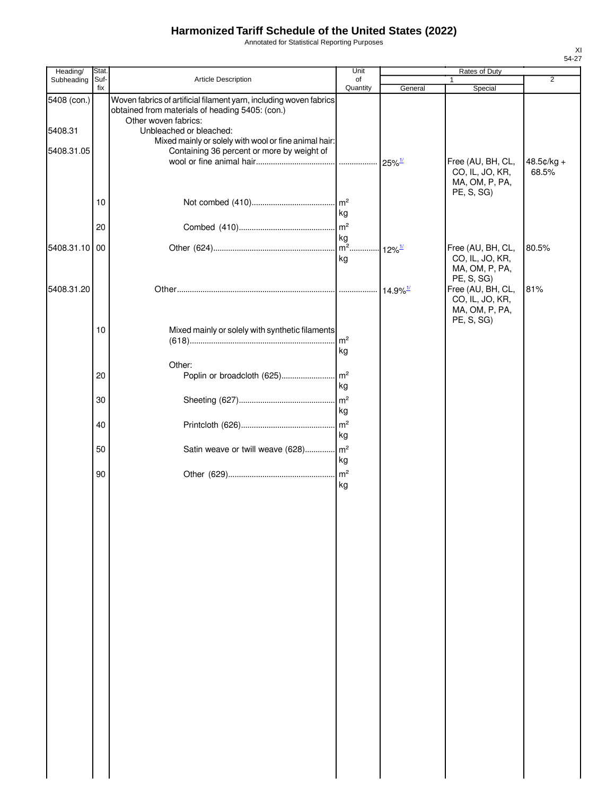Annotated for Statistical Reporting Purposes

| Heading/      | Stat. |                                                                                                                                               | Unit           | Rates of Duty          |                                                                      |                       |
|---------------|-------|-----------------------------------------------------------------------------------------------------------------------------------------------|----------------|------------------------|----------------------------------------------------------------------|-----------------------|
| Subheading    | Suf-  | Article Description                                                                                                                           | of             |                        |                                                                      | $\overline{2}$        |
| 5408 (con.)   | fix   | Woven fabrics of artificial filament yarn, including woven fabrics<br>obtained from materials of heading 5405: (con.)<br>Other woven fabrics: | Quantity       | General                | Special                                                              |                       |
| 5408.31       |       | Unbleached or bleached:                                                                                                                       |                |                        |                                                                      |                       |
|               |       | Mixed mainly or solely with wool or fine animal hair:                                                                                         |                |                        |                                                                      |                       |
| 5408.31.05    |       | Containing 36 percent or more by weight of                                                                                                    |                |                        |                                                                      |                       |
|               |       |                                                                                                                                               |                |                        | Free (AU, BH, CL,<br>CO, IL, JO, KR,<br>MA, OM, P, PA,<br>PE, S, SG) | $48.5¢/kg +$<br>68.5% |
|               | 10    |                                                                                                                                               | kg             |                        |                                                                      |                       |
|               | 20    |                                                                                                                                               |                |                        |                                                                      |                       |
|               |       |                                                                                                                                               | kg             |                        |                                                                      |                       |
| 5408.31.10 00 |       |                                                                                                                                               |                | $12\%$ <sup>1/</sup>   | Free (AU, BH, CL,                                                    | 80.5%                 |
|               |       |                                                                                                                                               | kg             |                        | CO, IL, JO, KR,<br>MA, OM, P, PA,<br>PE, S, SG)                      |                       |
| 5408.31.20    |       |                                                                                                                                               |                | $14.9\%$ <sup>1/</sup> | Free (AU, BH, CL,                                                    | 81%                   |
|               |       |                                                                                                                                               |                |                        | CO, IL, JO, KR,<br>MA, OM, P, PA,<br>PE, S, SG)                      |                       |
|               | 10    | Mixed mainly or solely with synthetic filaments                                                                                               |                |                        |                                                                      |                       |
|               |       |                                                                                                                                               | m <sup>2</sup> |                        |                                                                      |                       |
|               |       |                                                                                                                                               | kg             |                        |                                                                      |                       |
|               |       | Other:                                                                                                                                        |                |                        |                                                                      |                       |
|               | 20    |                                                                                                                                               |                |                        |                                                                      |                       |
|               |       |                                                                                                                                               | kg             |                        |                                                                      |                       |
|               | 30    |                                                                                                                                               | m <sup>2</sup> |                        |                                                                      |                       |
|               |       |                                                                                                                                               | kg             |                        |                                                                      |                       |
|               | 40    |                                                                                                                                               |                |                        |                                                                      |                       |
|               |       |                                                                                                                                               | kg             |                        |                                                                      |                       |
|               | 50    | Satin weave or twill weave (628) m <sup>2</sup>                                                                                               |                |                        |                                                                      |                       |
|               |       |                                                                                                                                               | kg             |                        |                                                                      |                       |
|               | 90    |                                                                                                                                               |                |                        |                                                                      |                       |
|               |       |                                                                                                                                               | kg             |                        |                                                                      |                       |
|               |       |                                                                                                                                               |                |                        |                                                                      |                       |
|               |       |                                                                                                                                               |                |                        |                                                                      |                       |
|               |       |                                                                                                                                               |                |                        |                                                                      |                       |
|               |       |                                                                                                                                               |                |                        |                                                                      |                       |
|               |       |                                                                                                                                               |                |                        |                                                                      |                       |
|               |       |                                                                                                                                               |                |                        |                                                                      |                       |
|               |       |                                                                                                                                               |                |                        |                                                                      |                       |
|               |       |                                                                                                                                               |                |                        |                                                                      |                       |
|               |       |                                                                                                                                               |                |                        |                                                                      |                       |
|               |       |                                                                                                                                               |                |                        |                                                                      |                       |
|               |       |                                                                                                                                               |                |                        |                                                                      |                       |
|               |       |                                                                                                                                               |                |                        |                                                                      |                       |
|               |       |                                                                                                                                               |                |                        |                                                                      |                       |
|               |       |                                                                                                                                               |                |                        |                                                                      |                       |
|               |       |                                                                                                                                               |                |                        |                                                                      |                       |
|               |       |                                                                                                                                               |                |                        |                                                                      |                       |
|               |       |                                                                                                                                               |                |                        |                                                                      |                       |
|               |       |                                                                                                                                               |                |                        |                                                                      |                       |
|               |       |                                                                                                                                               |                |                        |                                                                      |                       |
|               |       |                                                                                                                                               |                |                        |                                                                      |                       |
|               |       |                                                                                                                                               |                |                        |                                                                      |                       |
|               |       |                                                                                                                                               |                |                        |                                                                      |                       |
|               |       |                                                                                                                                               |                |                        |                                                                      |                       |
|               |       |                                                                                                                                               |                |                        |                                                                      |                       |
|               |       |                                                                                                                                               |                |                        |                                                                      |                       |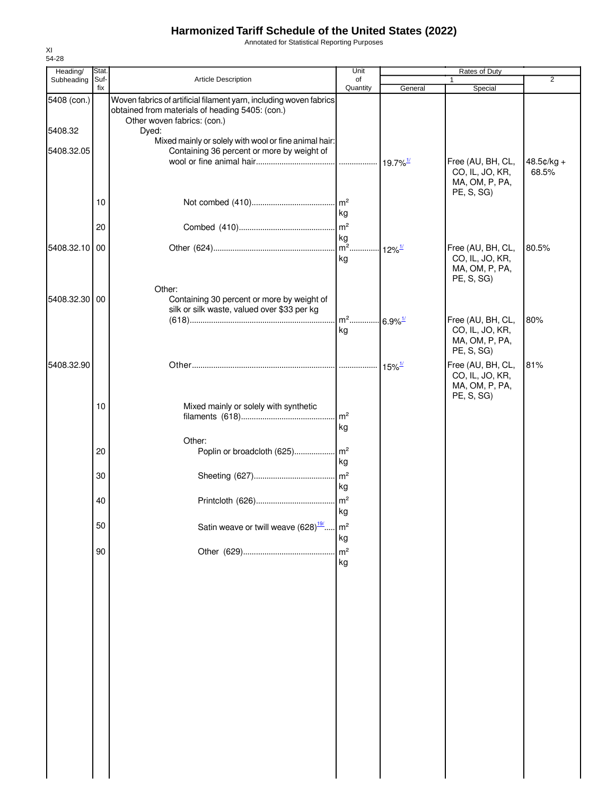Annotated for Statistical Reporting Purposes

| Heading/      | Stat.       |                                                                                                                                                      | Unit                                         |                      | Rates of Duty                                                        |                       |
|---------------|-------------|------------------------------------------------------------------------------------------------------------------------------------------------------|----------------------------------------------|----------------------|----------------------------------------------------------------------|-----------------------|
| Subheading    | Suf-<br>fix | <b>Article Description</b>                                                                                                                           | of<br>Quantity                               | General              | 1<br>Special                                                         | 2                     |
| 5408 (con.)   |             | Woven fabrics of artificial filament yarn, including woven fabrics<br>obtained from materials of heading 5405: (con.)<br>Other woven fabrics: (con.) |                                              |                      |                                                                      |                       |
| 5408.32       |             | Dyed:                                                                                                                                                |                                              |                      |                                                                      |                       |
| 5408.32.05    |             | Mixed mainly or solely with wool or fine animal hair:<br>Containing 36 percent or more by weight of                                                  |                                              |                      | Free (AU, BH, CL,<br>CO, IL, JO, KR,                                 | $48.5¢/kg +$<br>68.5% |
|               | 10          |                                                                                                                                                      | kg                                           |                      | MA, OM, P, PA,<br>PE, S, SG)                                         |                       |
|               | 20          |                                                                                                                                                      | m <sup>2</sup>                               |                      |                                                                      |                       |
| 5408.32.10 00 |             |                                                                                                                                                      | kg<br>m <sup>2</sup> 12% <sup>1/</sup><br>kg |                      | Free (AU, BH, CL,<br>CO, IL, JO, KR,<br>MA, OM, P, PA,               | 80.5%                 |
| 5408.32.30 00 |             | Other:<br>Containing 30 percent or more by weight of<br>silk or silk waste, valued over \$33 per kg                                                  |                                              |                      | PE, S, SG)                                                           |                       |
|               |             |                                                                                                                                                      | m <sup>2</sup> 6.9% <sup>1/</sup><br>ka      |                      | Free (AU, BH, CL,<br>CO, IL, JO, KR,<br>MA, OM, P, PA,<br>PE, S, SG) | 80%                   |
| 5408.32.90    |             |                                                                                                                                                      |                                              | $15\%$ <sup>1/</sup> | Free (AU, BH, CL,<br>CO, IL, JO, KR,<br>MA, OM, P, PA,<br>PE, S, SG) | 81%                   |
|               | 10          | Mixed mainly or solely with synthetic                                                                                                                | m <sup>2</sup><br>kg                         |                      |                                                                      |                       |
|               | 20          | Other:                                                                                                                                               | kg                                           |                      |                                                                      |                       |
|               | 30          |                                                                                                                                                      | $\mathsf{Im}^2$<br>kg                        |                      |                                                                      |                       |
|               | 40          |                                                                                                                                                      | kg                                           |                      |                                                                      |                       |
|               | 50          | Satin weave or twill weave (628) <sup>19/</sup>                                                                                                      | m <sup>2</sup><br>kg                         |                      |                                                                      |                       |
|               | 90          |                                                                                                                                                      | m <sup>2</sup><br>kg                         |                      |                                                                      |                       |
|               |             |                                                                                                                                                      |                                              |                      |                                                                      |                       |
|               |             |                                                                                                                                                      |                                              |                      |                                                                      |                       |
|               |             |                                                                                                                                                      |                                              |                      |                                                                      |                       |
|               |             |                                                                                                                                                      |                                              |                      |                                                                      |                       |
|               |             |                                                                                                                                                      |                                              |                      |                                                                      |                       |
|               |             |                                                                                                                                                      |                                              |                      |                                                                      |                       |
|               |             |                                                                                                                                                      |                                              |                      |                                                                      |                       |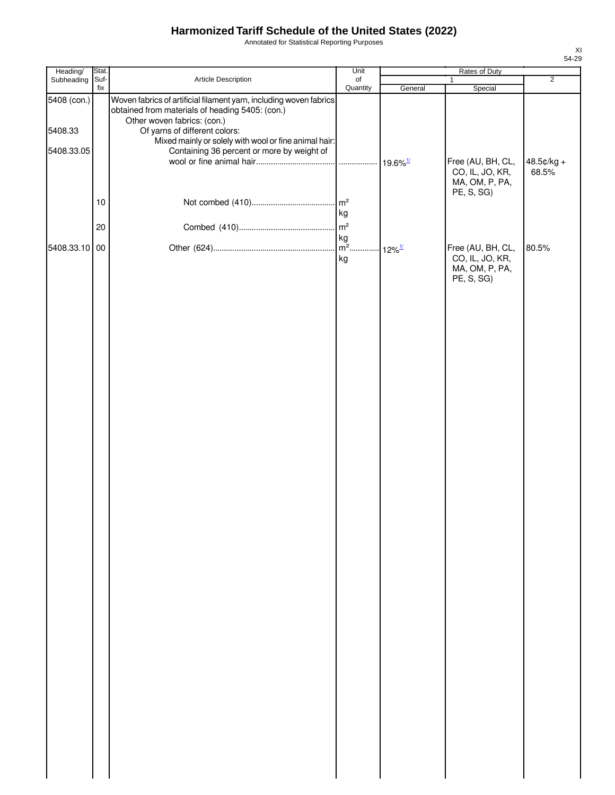Annotated for Statistical Reporting Purposes

| Heading/               | Stat. |                                                                                                                                                                                                                                                | Unit           |         |                                                                      |                     |
|------------------------|-------|------------------------------------------------------------------------------------------------------------------------------------------------------------------------------------------------------------------------------------------------|----------------|---------|----------------------------------------------------------------------|---------------------|
| Subheading Suf-        | fix   | Article Description                                                                                                                                                                                                                            | of<br>Quantity | General | $\mathbf{1}$<br>Special                                              | $\overline{2}$      |
| 5408 (con.)<br>5408.33 |       | Woven fabrics of artificial filament yarn, including woven fabrics<br>obtained from materials of heading 5405: (con.)<br>Other woven fabrics: (con.)<br>Of yarns of different colors:<br>Mixed mainly or solely with wool or fine animal hair: |                |         |                                                                      |                     |
| 5408.33.05             | $10$  | Containing 36 percent or more by weight of                                                                                                                                                                                                     |                |         | Free (AU, BH, CL,<br>CO, IL, JO, KR,<br>MA, OM, P, PA,<br>PE, S, SG) | 48.5¢/kg +<br>68.5% |
|                        | 20    |                                                                                                                                                                                                                                                | kg             |         |                                                                      |                     |
|                        |       |                                                                                                                                                                                                                                                |                |         |                                                                      |                     |
| 5408.33.10 00          |       |                                                                                                                                                                                                                                                | kg             |         | Free (AU, BH, CL,<br>CO, IL, JO, KR,<br>MA, OM, P, PA,<br>PE, S, SG) | 80.5%               |
|                        |       |                                                                                                                                                                                                                                                |                |         |                                                                      |                     |
|                        |       |                                                                                                                                                                                                                                                |                |         |                                                                      |                     |
|                        |       |                                                                                                                                                                                                                                                |                |         |                                                                      |                     |
|                        |       |                                                                                                                                                                                                                                                |                |         |                                                                      |                     |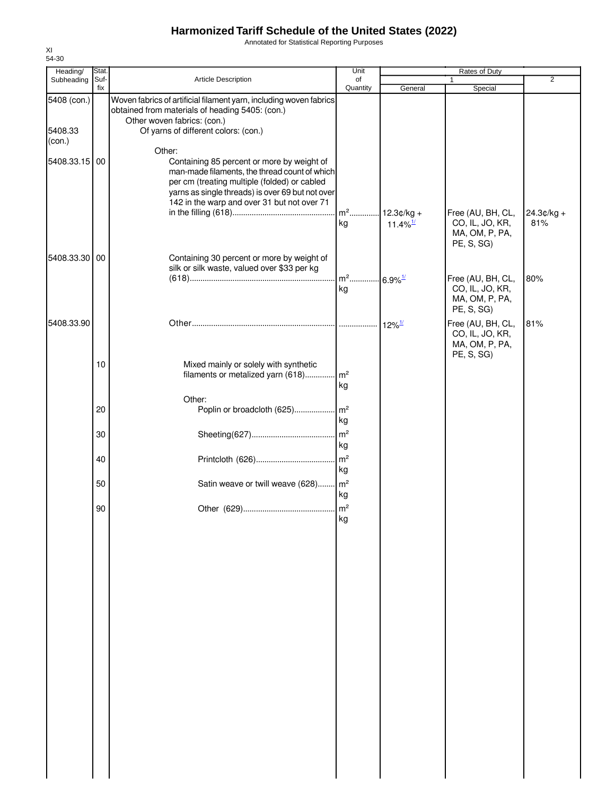Annotated for Statistical Reporting Purposes

| Heading/                         | Stat.       |                                                                                                                                                                                                                                                          | Unit                  |                                        | Rates of Duty                                                        |                     |
|----------------------------------|-------------|----------------------------------------------------------------------------------------------------------------------------------------------------------------------------------------------------------------------------------------------------------|-----------------------|----------------------------------------|----------------------------------------------------------------------|---------------------|
| Subheading                       | Suf-<br>fix | Article Description                                                                                                                                                                                                                                      | of<br>Quantity        | General                                | Special                                                              | $\overline{2}$      |
| 5408 (con.)<br>5408.33<br>(con.) |             | Woven fabrics of artificial filament yarn, including woven fabrics<br>obtained from materials of heading 5405: (con.)<br>Other woven fabrics: (con.)<br>Of yarns of different colors: (con.)                                                             |                       |                                        |                                                                      |                     |
| 5408.33.15 00                    |             | Other:<br>Containing 85 percent or more by weight of<br>man-made filaments, the thread count of which<br>per cm (treating multiple (folded) or cabled<br>yarns as single threads) is over 69 but not over<br>142 in the warp and over 31 but not over 71 |                       |                                        |                                                                      |                     |
|                                  |             |                                                                                                                                                                                                                                                          | $m2$<br>kg            | $12.3¢/kg +$<br>$11.4\%$ <sup>1/</sup> | Free (AU, BH, CL,<br>CO, IL, JO, KR,<br>MA, OM, P, PA,<br>PE, S, SG) | $24.3¢/kg +$<br>81% |
| 5408.33.30 00                    |             | Containing 30 percent or more by weight of<br>silk or silk waste, valued over \$33 per kg                                                                                                                                                                | $m2$                  | $.6.9\%$ <sup>1/</sup>                 | Free (AU, BH, CL,                                                    | 80%                 |
|                                  |             |                                                                                                                                                                                                                                                          | kg                    |                                        | CO, IL, JO, KR,<br>MA, OM, P, PA,<br>PE, S, SG)                      |                     |
| 5408.33.90                       |             |                                                                                                                                                                                                                                                          |                       | $12\%$ <sup>1/</sup>                   | Free (AU, BH, CL,<br>CO, IL, JO, KR,<br>MA, OM, P, PA,<br>PE, S, SG) | 81%                 |
|                                  | 10          | Mixed mainly or solely with synthetic<br>filaments or metalized yarn (618)                                                                                                                                                                               | $\mathsf{Im}^2$<br>kg |                                        |                                                                      |                     |
|                                  | 20          | Other:<br>Poplin or broadcloth (625)                                                                                                                                                                                                                     | $\mathsf{Im}^2$<br>kg |                                        |                                                                      |                     |
|                                  | 30          |                                                                                                                                                                                                                                                          | m <sup>2</sup><br>kg  |                                        |                                                                      |                     |
|                                  | 40          |                                                                                                                                                                                                                                                          | m <sup>2</sup><br>kg  |                                        |                                                                      |                     |
|                                  | 50          | Satin weave or twill weave (628) m <sup>2</sup>                                                                                                                                                                                                          | kg                    |                                        |                                                                      |                     |
|                                  | 90          |                                                                                                                                                                                                                                                          | kg                    |                                        |                                                                      |                     |
|                                  |             |                                                                                                                                                                                                                                                          |                       |                                        |                                                                      |                     |
|                                  |             |                                                                                                                                                                                                                                                          |                       |                                        |                                                                      |                     |
|                                  |             |                                                                                                                                                                                                                                                          |                       |                                        |                                                                      |                     |
|                                  |             |                                                                                                                                                                                                                                                          |                       |                                        |                                                                      |                     |
|                                  |             |                                                                                                                                                                                                                                                          |                       |                                        |                                                                      |                     |
|                                  |             |                                                                                                                                                                                                                                                          |                       |                                        |                                                                      |                     |
|                                  |             |                                                                                                                                                                                                                                                          |                       |                                        |                                                                      |                     |
|                                  |             |                                                                                                                                                                                                                                                          |                       |                                        |                                                                      |                     |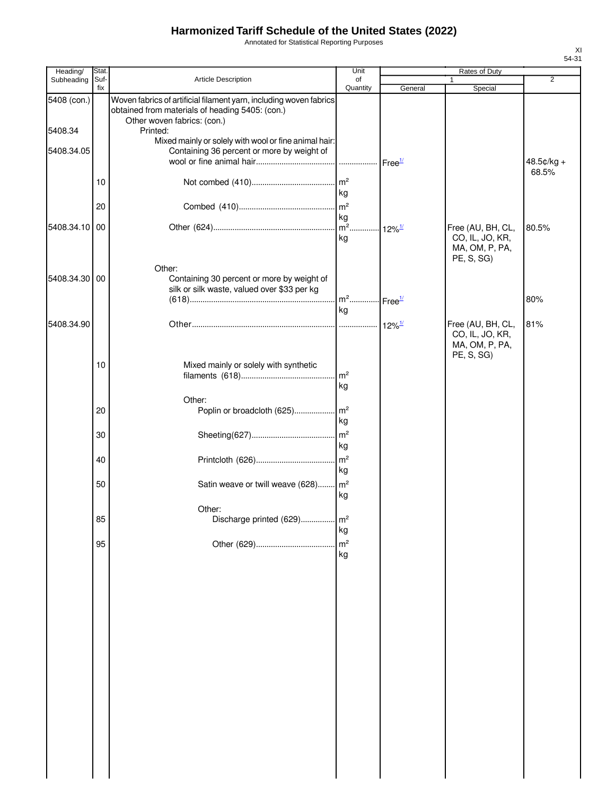Annotated for Statistical Reporting Purposes

| Heading/      | Stat. |                                                                                                     | Unit                                    |                      | Rates of Duty                                   |                     |
|---------------|-------|-----------------------------------------------------------------------------------------------------|-----------------------------------------|----------------------|-------------------------------------------------|---------------------|
| Subheading    | Suf-  | Article Description                                                                                 | of                                      |                      |                                                 | $\overline{2}$      |
| 5408 (con.)   | fix   | Woven fabrics of artificial filament yarn, including woven fabrics                                  | Quantity                                | General              | Special                                         |                     |
|               |       | obtained from materials of heading 5405: (con.)<br>Other woven fabrics: (con.)                      |                                         |                      |                                                 |                     |
| 5408.34       |       | Printed:                                                                                            |                                         |                      |                                                 |                     |
| 5408.34.05    |       | Mixed mainly or solely with wool or fine animal hair:<br>Containing 36 percent or more by weight of |                                         |                      |                                                 |                     |
|               |       |                                                                                                     |                                         |                      |                                                 | 48.5¢/kg +<br>68.5% |
|               | 10    |                                                                                                     | m <sup>2</sup>                          |                      |                                                 |                     |
|               |       |                                                                                                     | kg                                      |                      |                                                 |                     |
|               | 20    |                                                                                                     | kg                                      |                      |                                                 |                     |
| 5408.34.10 00 |       |                                                                                                     | $m2$                                    | $12\%$ <sup>1/</sup> | Free (AU, BH, CL,                               | 80.5%               |
|               |       |                                                                                                     | kg                                      |                      | CO, IL, JO, KR,<br>MA, OM, P, PA,               |                     |
|               |       | Other:                                                                                              |                                         |                      | PE, S, SG)                                      |                     |
| 5408.34.30 00 |       | Containing 30 percent or more by weight of                                                          |                                         |                      |                                                 |                     |
|               |       | silk or silk waste, valued over \$33 per kg                                                         |                                         |                      |                                                 |                     |
|               |       |                                                                                                     | m <sup>2</sup> Free <sup>1/</sup><br>kg |                      |                                                 | 80%                 |
| 5408.34.90    |       |                                                                                                     |                                         | $12\%$ <sup>1/</sup> | Free (AU, BH, CL,                               | 81%                 |
|               |       |                                                                                                     |                                         |                      | CO, IL, JO, KR,<br>MA, OM, P, PA,<br>PE, S, SG) |                     |
|               | 10    | Mixed mainly or solely with synthetic                                                               |                                         |                      |                                                 |                     |
|               |       |                                                                                                     | $\rm{m}^2$                              |                      |                                                 |                     |
|               |       |                                                                                                     | kg                                      |                      |                                                 |                     |
|               | 20    | Other:<br>Poplin or broadcloth (625)                                                                | m <sup>2</sup>                          |                      |                                                 |                     |
|               |       |                                                                                                     | kg                                      |                      |                                                 |                     |
|               | 30    |                                                                                                     | m <sup>2</sup>                          |                      |                                                 |                     |
|               |       |                                                                                                     | kg                                      |                      |                                                 |                     |
|               | 40    |                                                                                                     |                                         |                      |                                                 |                     |
|               |       |                                                                                                     | kg                                      |                      |                                                 |                     |
|               | 50    | Satin weave or twill weave (628)                                                                    | m <sup>2</sup><br>kg                    |                      |                                                 |                     |
|               |       | Other:                                                                                              |                                         |                      |                                                 |                     |
|               | 85    | Discharge printed (629)                                                                             | m <sup>2</sup>                          |                      |                                                 |                     |
|               |       |                                                                                                     | kg                                      |                      |                                                 |                     |
|               | 95    |                                                                                                     | m <sup>2</sup>                          |                      |                                                 |                     |
|               |       |                                                                                                     | kg                                      |                      |                                                 |                     |
|               |       |                                                                                                     |                                         |                      |                                                 |                     |
|               |       |                                                                                                     |                                         |                      |                                                 |                     |
|               |       |                                                                                                     |                                         |                      |                                                 |                     |
|               |       |                                                                                                     |                                         |                      |                                                 |                     |
|               |       |                                                                                                     |                                         |                      |                                                 |                     |
|               |       |                                                                                                     |                                         |                      |                                                 |                     |
|               |       |                                                                                                     |                                         |                      |                                                 |                     |
|               |       |                                                                                                     |                                         |                      |                                                 |                     |
|               |       |                                                                                                     |                                         |                      |                                                 |                     |
|               |       |                                                                                                     |                                         |                      |                                                 |                     |
|               |       |                                                                                                     |                                         |                      |                                                 |                     |
|               |       |                                                                                                     |                                         |                      |                                                 |                     |
|               |       |                                                                                                     |                                         |                      |                                                 |                     |
|               |       |                                                                                                     |                                         |                      |                                                 |                     |
|               |       |                                                                                                     |                                         |                      |                                                 |                     |
|               |       |                                                                                                     |                                         |                      |                                                 |                     |